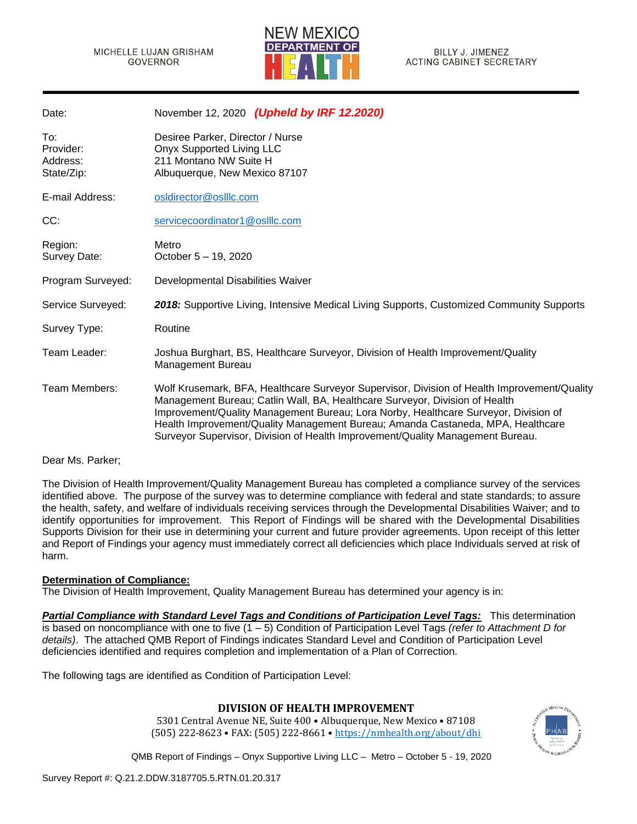

| Date:                                      | November 12, 2020 (Upheld by IRF 12.2020)                                                                                                                                                                                                                                                                                                                                                                                              |
|--------------------------------------------|----------------------------------------------------------------------------------------------------------------------------------------------------------------------------------------------------------------------------------------------------------------------------------------------------------------------------------------------------------------------------------------------------------------------------------------|
| To:<br>Provider:<br>Address:<br>State/Zip: | Desiree Parker, Director / Nurse<br>Onyx Supported Living LLC<br>211 Montano NW Suite H<br>Albuquerque, New Mexico 87107                                                                                                                                                                                                                                                                                                               |
| E-mail Address:                            | osldirector@oslllc.com                                                                                                                                                                                                                                                                                                                                                                                                                 |
| CC:                                        | servicecoordinator1@oslllc.com                                                                                                                                                                                                                                                                                                                                                                                                         |
| Region:<br>Survey Date:                    | Metro<br>October 5 - 19, 2020                                                                                                                                                                                                                                                                                                                                                                                                          |
| Program Surveyed:                          | Developmental Disabilities Waiver                                                                                                                                                                                                                                                                                                                                                                                                      |
| Service Surveyed:                          | 2018: Supportive Living, Intensive Medical Living Supports, Customized Community Supports                                                                                                                                                                                                                                                                                                                                              |
| Survey Type:                               | Routine                                                                                                                                                                                                                                                                                                                                                                                                                                |
| Team Leader:                               | Joshua Burghart, BS, Healthcare Surveyor, Division of Health Improvement/Quality<br>Management Bureau                                                                                                                                                                                                                                                                                                                                  |
| Team Members:                              | Wolf Krusemark, BFA, Healthcare Surveyor Supervisor, Division of Health Improvement/Quality<br>Management Bureau; Catlin Wall, BA, Healthcare Surveyor, Division of Health<br>Improvement/Quality Management Bureau; Lora Norby, Healthcare Surveyor, Division of<br>Health Improvement/Quality Management Bureau; Amanda Castaneda, MPA, Healthcare<br>Surveyor Supervisor, Division of Health Improvement/Quality Management Bureau. |

### Dear Ms. Parker;

The Division of Health Improvement/Quality Management Bureau has completed a compliance survey of the services identified above. The purpose of the survey was to determine compliance with federal and state standards; to assure the health, safety, and welfare of individuals receiving services through the Developmental Disabilities Waiver; and to identify opportunities for improvement. This Report of Findings will be shared with the Developmental Disabilities Supports Division for their use in determining your current and future provider agreements. Upon receipt of this letter and Report of Findings your agency must immediately correct all deficiencies which place Individuals served at risk of harm.

### **Determination of Compliance:**

The Division of Health Improvement, Quality Management Bureau has determined your agency is in:

*Partial Compliance with Standard Level Tags and Conditions of Participation Level Tags:* This determination is based on noncompliance with one to five (1 – 5) Condition of Participation Level Tags *(refer to Attachment D for details)*. The attached QMB Report of Findings indicates Standard Level and Condition of Participation Level deficiencies identified and requires completion and implementation of a Plan of Correction.

The following tags are identified as Condition of Participation Level:

# **DIVISION OF HEALTH IMPROVEMENT**

5301 Central Avenue NE, Suite 400 • Albuquerque, New Mexico • 87108 (505) 222-8623 • FAX: (505) 222-8661 • <https://nmhealth.org/about/dhi>

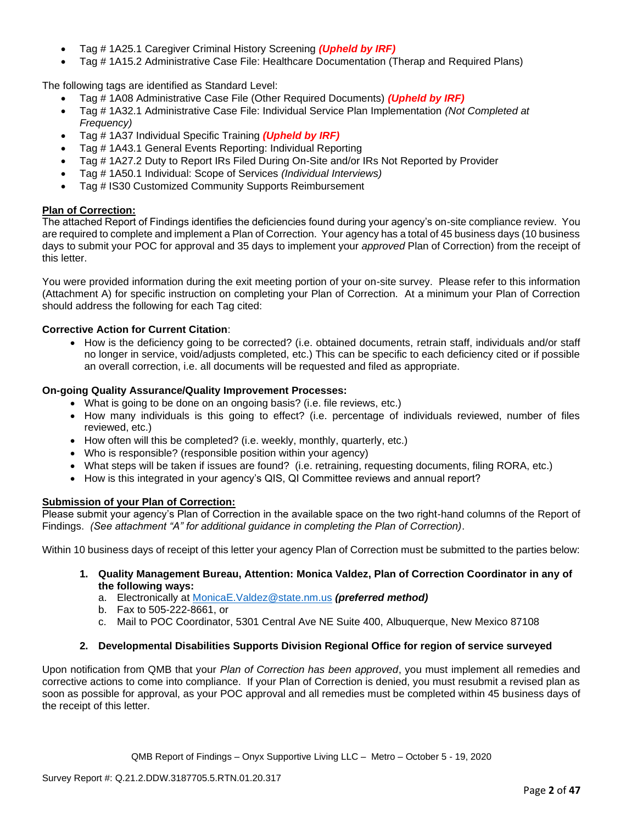- Tag # 1A25.1 Caregiver Criminal History Screening *(Upheld by IRF)*
- Tag # 1A15.2 Administrative Case File: Healthcare Documentation (Therap and Required Plans)

The following tags are identified as Standard Level:

- Tag # 1A08 Administrative Case File (Other Required Documents) *(Upheld by IRF)*
- Tag # 1A32.1 Administrative Case File: Individual Service Plan Implementation *(Not Completed at Frequency)*
- Tag # 1A37 Individual Specific Training *(Upheld by IRF)*
- Tag # 1A43.1 General Events Reporting: Individual Reporting
- Tag # 1A27.2 Duty to Report IRs Filed During On-Site and/or IRs Not Reported by Provider
- Tag # 1A50.1 Individual: Scope of Services *(Individual Interviews)*
- Tag # IS30 Customized Community Supports Reimbursement

# **Plan of Correction:**

The attached Report of Findings identifies the deficiencies found during your agency's on-site compliance review. You are required to complete and implement a Plan of Correction. Your agency has a total of 45 business days (10 business days to submit your POC for approval and 35 days to implement your *approved* Plan of Correction) from the receipt of this letter.

You were provided information during the exit meeting portion of your on-site survey. Please refer to this information (Attachment A) for specific instruction on completing your Plan of Correction. At a minimum your Plan of Correction should address the following for each Tag cited:

# **Corrective Action for Current Citation**:

• How is the deficiency going to be corrected? (i.e. obtained documents, retrain staff, individuals and/or staff no longer in service, void/adjusts completed, etc.) This can be specific to each deficiency cited or if possible an overall correction, i.e. all documents will be requested and filed as appropriate.

## **On-going Quality Assurance/Quality Improvement Processes:**

- What is going to be done on an ongoing basis? (i.e. file reviews, etc.)
- How many individuals is this going to effect? (i.e. percentage of individuals reviewed, number of files reviewed, etc.)
- How often will this be completed? (i.e. weekly, monthly, quarterly, etc.)
- Who is responsible? (responsible position within your agency)
- What steps will be taken if issues are found? (i.e. retraining, requesting documents, filing RORA, etc.)
- How is this integrated in your agency's QIS, QI Committee reviews and annual report?

# **Submission of your Plan of Correction:**

Please submit your agency's Plan of Correction in the available space on the two right-hand columns of the Report of Findings. *(See attachment "A" for additional guidance in completing the Plan of Correction)*.

Within 10 business days of receipt of this letter your agency Plan of Correction must be submitted to the parties below:

**1. Quality Management Bureau, Attention: Monica Valdez, Plan of Correction Coordinator in any of the following ways:**

a. Electronically at [MonicaE.Valdez@state.nm.us](mailto:MonicaE.Valdez@state.nm.us) *(preferred method)*

- b. Fax to 505-222-8661, or
- c. Mail to POC Coordinator, 5301 Central Ave NE Suite 400, Albuquerque, New Mexico 87108

### **2. Developmental Disabilities Supports Division Regional Office for region of service surveyed**

Upon notification from QMB that your *Plan of Correction has been approved*, you must implement all remedies and corrective actions to come into compliance. If your Plan of Correction is denied, you must resubmit a revised plan as soon as possible for approval, as your POC approval and all remedies must be completed within 45 business days of the receipt of this letter.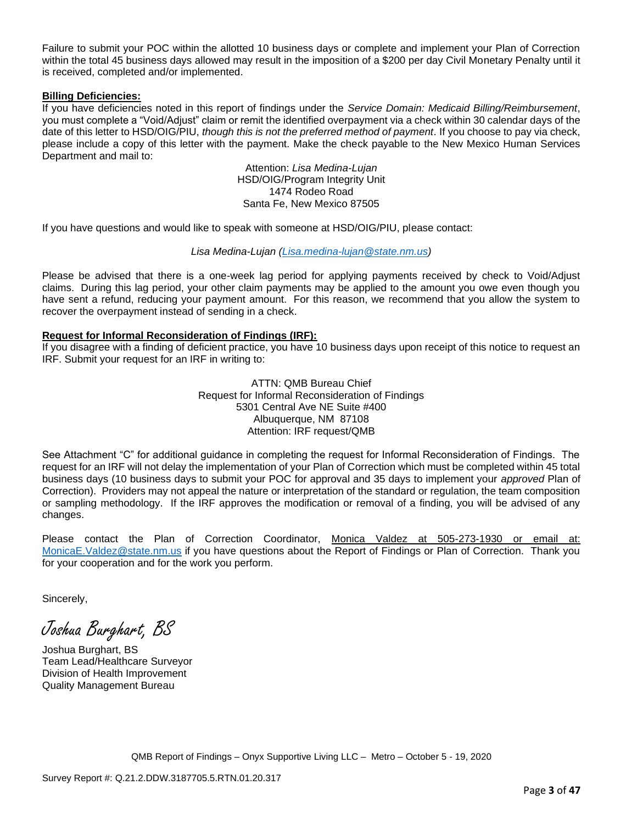Failure to submit your POC within the allotted 10 business days or complete and implement your Plan of Correction within the total 45 business days allowed may result in the imposition of a \$200 per day Civil Monetary Penalty until it is received, completed and/or implemented.

### **Billing Deficiencies:**

If you have deficiencies noted in this report of findings under the *Service Domain: Medicaid Billing/Reimbursement*, you must complete a "Void/Adjust" claim or remit the identified overpayment via a check within 30 calendar days of the date of this letter to HSD/OIG/PIU, *though this is not the preferred method of payment*. If you choose to pay via check, please include a copy of this letter with the payment. Make the check payable to the New Mexico Human Services Department and mail to:

> Attention: *Lisa Medina-Lujan* HSD/OIG/Program Integrity Unit 1474 Rodeo Road Santa Fe, New Mexico 87505

If you have questions and would like to speak with someone at HSD/OIG/PIU, please contact:

### *Lisa Medina-Lujan [\(Lisa.medina-lujan@state.nm.us\)](mailto:Lisa.medina-lujan@state.nm.us)*

Please be advised that there is a one-week lag period for applying payments received by check to Void/Adjust claims. During this lag period, your other claim payments may be applied to the amount you owe even though you have sent a refund, reducing your payment amount. For this reason, we recommend that you allow the system to recover the overpayment instead of sending in a check.

## **Request for Informal Reconsideration of Findings (IRF):**

If you disagree with a finding of deficient practice, you have 10 business days upon receipt of this notice to request an IRF. Submit your request for an IRF in writing to:

> ATTN: QMB Bureau Chief Request for Informal Reconsideration of Findings 5301 Central Ave NE Suite #400 Albuquerque, NM 87108 Attention: IRF request/QMB

See Attachment "C" for additional guidance in completing the request for Informal Reconsideration of Findings. The request for an IRF will not delay the implementation of your Plan of Correction which must be completed within 45 total business days (10 business days to submit your POC for approval and 35 days to implement your *approved* Plan of Correction). Providers may not appeal the nature or interpretation of the standard or regulation, the team composition or sampling methodology. If the IRF approves the modification or removal of a finding, you will be advised of any changes.

Please contact the Plan of Correction Coordinator, Monica Valdez at 505-273-1930 or email at: [MonicaE.Valdez@state.nm.us](mailto:MonicaE.Valdez@state.nm.us) if you have questions about the Report of Findings or Plan of Correction. Thank you for your cooperation and for the work you perform.

Sincerely,

Joshua Burghart, BS

Joshua Burghart, BS Team Lead/Healthcare Surveyor Division of Health Improvement Quality Management Bureau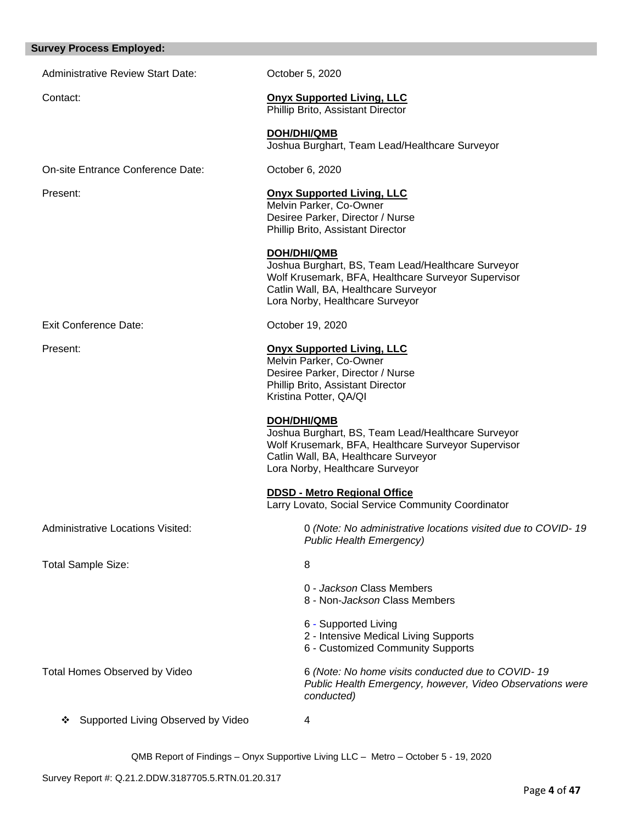#### **Survey Process Employed:**

Administrative Review Start Date: Corrected by Corporation Corporation of Administrative Review Start Date:

# Contact: **Onyx Supported Living, LLC**

Phillip Brito, Assistant Director

**DOH/DHI/QMB** Joshua Burghart, Team Lead/Healthcare Surveyor

On-site Entrance Conference Date: October 6, 2020

Exit Conference Date: Conference Date: Conference Date:

Present: **Onyx Supported Living, LLC** 

Melvin Parker, Co-Owner Desiree Parker, Director / Nurse Phillip Brito, Assistant Director

**DOH/DHI/QMB**

Joshua Burghart, BS, Team Lead/Healthcare Surveyor Wolf Krusemark, BFA, Healthcare Surveyor Supervisor Catlin Wall, BA, Healthcare Surveyor Lora Norby, Healthcare Surveyor

# Present: **Onyx Supported Living, LLC** Melvin Parker, Co-Owner Desiree Parker, Director / Nurse

Phillip Brito, Assistant Director Kristina Potter, QA/QI

### **DOH/DHI/QMB**

Joshua Burghart, BS, Team Lead/Healthcare Surveyor Wolf Krusemark, BFA, Healthcare Surveyor Supervisor Catlin Wall, BA, Healthcare Surveyor Lora Norby, Healthcare Surveyor

### **DDSD - Metro Regional Office**

Larry Lovato, Social Service Community Coordinator

Total Sample Size: 8

Administrative Locations Visited: 0 *(Note: No administrative locations visited due to COVID- 19 Public Health Emergency)*

- 0 *Jackson* Class Members
- 8 Non-*Jackson* Class Members
- 6 Supported Living
- 2 Intensive Medical Living Supports
- 6 Customized Community Supports

Total Homes Observed by Video 6 *(Note: No home visits conducted due to COVID- 19 Public Health Emergency, however, Video Observations were conducted)* 

❖ Supported Living Observed by Video 4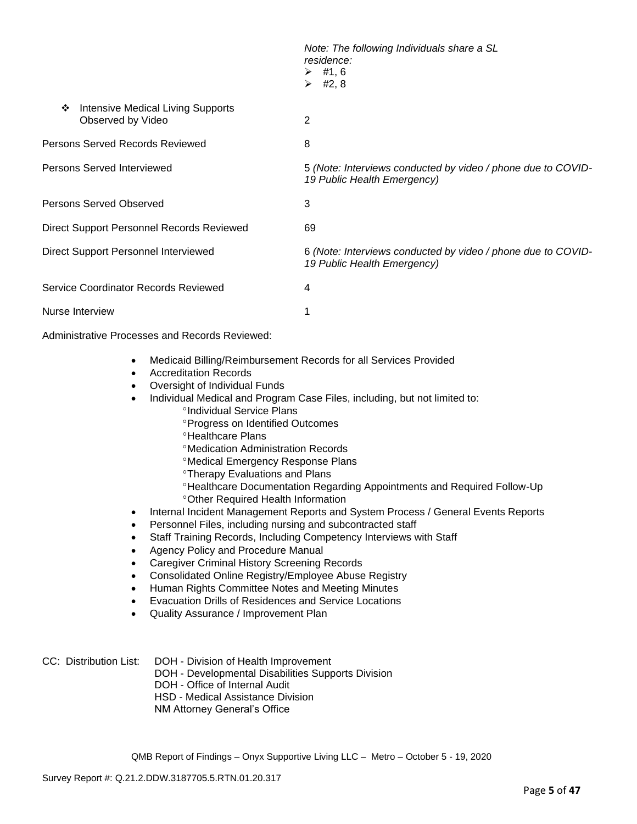|                                                                    | Note: The following Individuals share a SL<br>residence:<br>$\triangleright$ #1,6<br>$\triangleright$ #2, 8 |
|--------------------------------------------------------------------|-------------------------------------------------------------------------------------------------------------|
| <b>Intensive Medical Living Supports</b><br>❖<br>Observed by Video | 2                                                                                                           |
| Persons Served Records Reviewed                                    | 8                                                                                                           |
| Persons Served Interviewed                                         | 5 (Note: Interviews conducted by video / phone due to COVID-<br>19 Public Health Emergency)                 |
| Persons Served Observed                                            | 3                                                                                                           |
| Direct Support Personnel Records Reviewed                          | 69                                                                                                          |
| Direct Support Personnel Interviewed                               | 6 (Note: Interviews conducted by video / phone due to COVID-<br>19 Public Health Emergency)                 |
| Service Coordinator Records Reviewed                               | 4                                                                                                           |
| Nurse Interview                                                    |                                                                                                             |

Administrative Processes and Records Reviewed:

- Medicaid Billing/Reimbursement Records for all Services Provided
- Accreditation Records
- Oversight of Individual Funds
- Individual Medical and Program Case Files, including, but not limited to:
	- <sup>o</sup>Individual Service Plans
	- Progress on Identified Outcomes
	- <sup>o</sup>Healthcare Plans
	- Medication Administration Records
	- Medical Emergency Response Plans
	- Therapy Evaluations and Plans
	- Healthcare Documentation Regarding Appointments and Required Follow-Up Other Required Health Information
- Internal Incident Management Reports and System Process / General Events Reports
- Personnel Files, including nursing and subcontracted staff
- Staff Training Records, Including Competency Interviews with Staff
- Agency Policy and Procedure Manual
- Caregiver Criminal History Screening Records
- Consolidated Online Registry/Employee Abuse Registry
- Human Rights Committee Notes and Meeting Minutes
- Evacuation Drills of Residences and Service Locations
- Quality Assurance / Improvement Plan
- CC: Distribution List: DOH Division of Health Improvement DOH - Developmental Disabilities Supports Division DOH - Office of Internal Audit HSD - Medical Assistance Division NM Attorney General's Office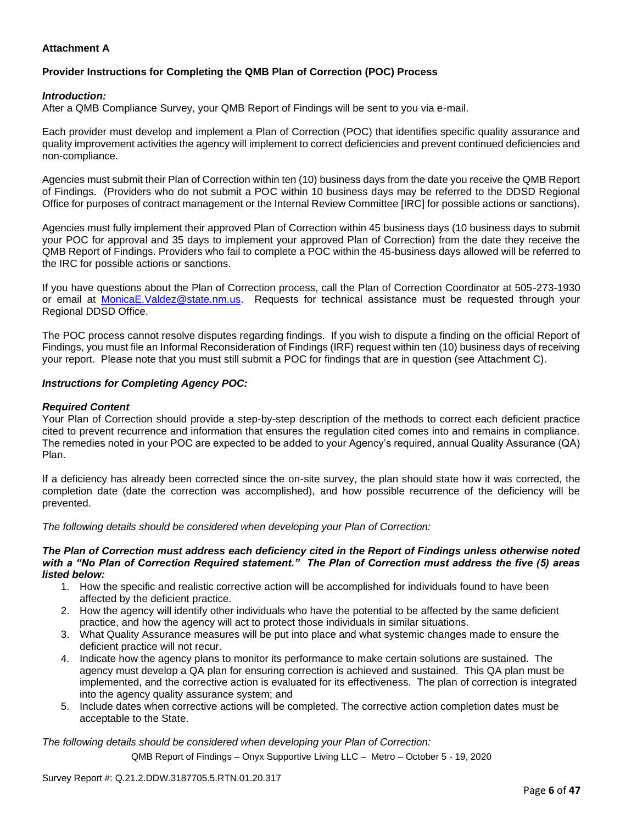# **Attachment A**

# **Provider Instructions for Completing the QMB Plan of Correction (POC) Process**

## *Introduction:*

After a QMB Compliance Survey, your QMB Report of Findings will be sent to you via e-mail.

Each provider must develop and implement a Plan of Correction (POC) that identifies specific quality assurance and quality improvement activities the agency will implement to correct deficiencies and prevent continued deficiencies and non-compliance.

Agencies must submit their Plan of Correction within ten (10) business days from the date you receive the QMB Report of Findings. (Providers who do not submit a POC within 10 business days may be referred to the DDSD Regional Office for purposes of contract management or the Internal Review Committee [IRC] for possible actions or sanctions).

Agencies must fully implement their approved Plan of Correction within 45 business days (10 business days to submit your POC for approval and 35 days to implement your approved Plan of Correction) from the date they receive the QMB Report of Findings. Providers who fail to complete a POC within the 45-business days allowed will be referred to the IRC for possible actions or sanctions.

If you have questions about the Plan of Correction process, call the Plan of Correction Coordinator at 505-273-1930 or email at [MonicaE.Valdez@state.nm.us.](mailto:MonicaE.Valdez@state.nm.us) Requests for technical assistance must be requested through your Regional DDSD Office.

The POC process cannot resolve disputes regarding findings. If you wish to dispute a finding on the official Report of Findings, you must file an Informal Reconsideration of Findings (IRF) request within ten (10) business days of receiving your report. Please note that you must still submit a POC for findings that are in question (see Attachment C).

### *Instructions for Completing Agency POC:*

### *Required Content*

Your Plan of Correction should provide a step-by-step description of the methods to correct each deficient practice cited to prevent recurrence and information that ensures the regulation cited comes into and remains in compliance. The remedies noted in your POC are expected to be added to your Agency's required, annual Quality Assurance (QA) Plan.

If a deficiency has already been corrected since the on-site survey, the plan should state how it was corrected, the completion date (date the correction was accomplished), and how possible recurrence of the deficiency will be prevented.

*The following details should be considered when developing your Plan of Correction:*

#### *The Plan of Correction must address each deficiency cited in the Report of Findings unless otherwise noted with a "No Plan of Correction Required statement." The Plan of Correction must address the five (5) areas listed below:*

- 1. How the specific and realistic corrective action will be accomplished for individuals found to have been affected by the deficient practice.
- 2. How the agency will identify other individuals who have the potential to be affected by the same deficient practice, and how the agency will act to protect those individuals in similar situations.
- 3. What Quality Assurance measures will be put into place and what systemic changes made to ensure the deficient practice will not recur.
- 4. Indicate how the agency plans to monitor its performance to make certain solutions are sustained. The agency must develop a QA plan for ensuring correction is achieved and sustained. This QA plan must be implemented, and the corrective action is evaluated for its effectiveness. The plan of correction is integrated into the agency quality assurance system; and
- 5. Include dates when corrective actions will be completed. The corrective action completion dates must be acceptable to the State.

*The following details should be considered when developing your Plan of Correction:*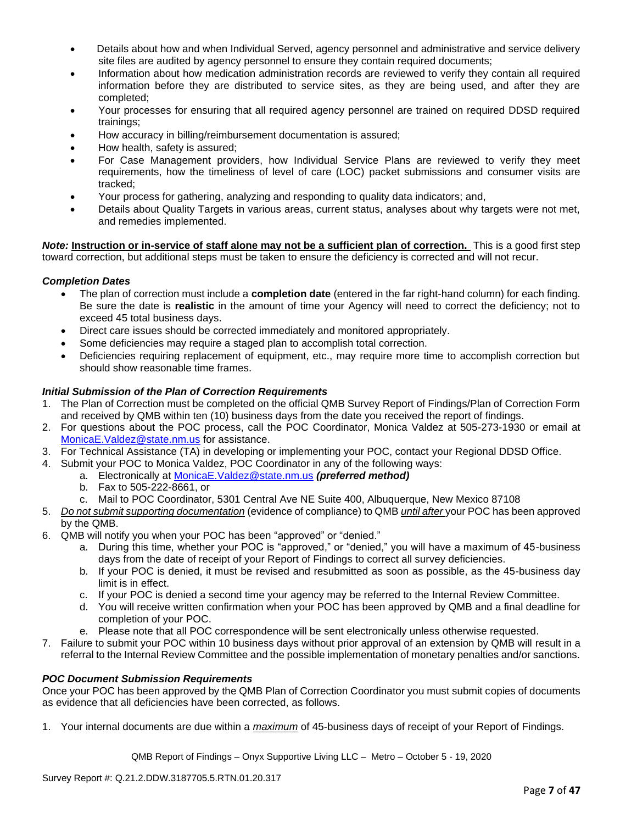- Details about how and when Individual Served, agency personnel and administrative and service delivery site files are audited by agency personnel to ensure they contain required documents;
- Information about how medication administration records are reviewed to verify they contain all required information before they are distributed to service sites, as they are being used, and after they are completed;
- Your processes for ensuring that all required agency personnel are trained on required DDSD required trainings;
- How accuracy in billing/reimbursement documentation is assured;
- How health, safety is assured;
- For Case Management providers, how Individual Service Plans are reviewed to verify they meet requirements, how the timeliness of level of care (LOC) packet submissions and consumer visits are tracked;
- Your process for gathering, analyzing and responding to quality data indicators; and,
- Details about Quality Targets in various areas, current status, analyses about why targets were not met, and remedies implemented.

*Note:* **Instruction or in-service of staff alone may not be a sufficient plan of correction.** This is a good first step toward correction, but additional steps must be taken to ensure the deficiency is corrected and will not recur.

## *Completion Dates*

- The plan of correction must include a **completion date** (entered in the far right-hand column) for each finding. Be sure the date is **realistic** in the amount of time your Agency will need to correct the deficiency; not to exceed 45 total business days.
- Direct care issues should be corrected immediately and monitored appropriately.
- Some deficiencies may require a staged plan to accomplish total correction.
- Deficiencies requiring replacement of equipment, etc., may require more time to accomplish correction but should show reasonable time frames.

## *Initial Submission of the Plan of Correction Requirements*

- 1. The Plan of Correction must be completed on the official QMB Survey Report of Findings/Plan of Correction Form and received by QMB within ten (10) business days from the date you received the report of findings.
- 2. For questions about the POC process, call the POC Coordinator, Monica Valdez at 505-273-1930 or email at [MonicaE.Valdez@state.nm.us](mailto:MonicaE.Valdez@state.nm.us) for assistance.
- 3. For Technical Assistance (TA) in developing or implementing your POC, contact your Regional DDSD Office.
- 4. Submit your POC to Monica Valdez, POC Coordinator in any of the following ways:
	- a. Electronically at [MonicaE.Valdez@state.nm.us](mailto:MonicaE.Valdez@state.nm.us) *(preferred method)*
	- b. Fax to 505-222-8661, or
	- c. Mail to POC Coordinator, 5301 Central Ave NE Suite 400, Albuquerque, New Mexico 87108
- 5. *Do not submit supporting documentation* (evidence of compliance) to QMB *until after* your POC has been approved by the QMB.
- 6. QMB will notify you when your POC has been "approved" or "denied."
	- a. During this time, whether your POC is "approved," or "denied," you will have a maximum of 45-business days from the date of receipt of your Report of Findings to correct all survey deficiencies.
	- b. If your POC is denied, it must be revised and resubmitted as soon as possible, as the 45-business day limit is in effect.
	- c. If your POC is denied a second time your agency may be referred to the Internal Review Committee.
	- d. You will receive written confirmation when your POC has been approved by QMB and a final deadline for completion of your POC.
	- e. Please note that all POC correspondence will be sent electronically unless otherwise requested.
- 7. Failure to submit your POC within 10 business days without prior approval of an extension by QMB will result in a referral to the Internal Review Committee and the possible implementation of monetary penalties and/or sanctions.

### *POC Document Submission Requirements*

Once your POC has been approved by the QMB Plan of Correction Coordinator you must submit copies of documents as evidence that all deficiencies have been corrected, as follows.

1. Your internal documents are due within a *maximum* of 45-business days of receipt of your Report of Findings.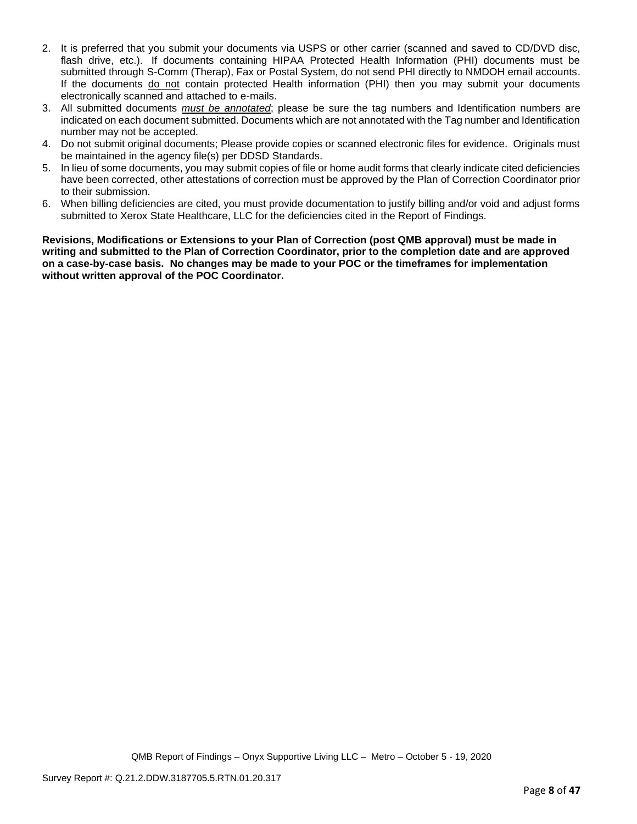- 2. It is preferred that you submit your documents via USPS or other carrier (scanned and saved to CD/DVD disc, flash drive, etc.). If documents containing HIPAA Protected Health Information (PHI) documents must be submitted through S-Comm (Therap), Fax or Postal System, do not send PHI directly to NMDOH email accounts. If the documents do not contain protected Health information (PHI) then you may submit your documents electronically scanned and attached to e-mails.
- 3. All submitted documents *must be annotated*; please be sure the tag numbers and Identification numbers are indicated on each document submitted. Documents which are not annotated with the Tag number and Identification number may not be accepted.
- 4. Do not submit original documents; Please provide copies or scanned electronic files for evidence. Originals must be maintained in the agency file(s) per DDSD Standards.
- 5. In lieu of some documents, you may submit copies of file or home audit forms that clearly indicate cited deficiencies have been corrected, other attestations of correction must be approved by the Plan of Correction Coordinator prior to their submission.
- 6. When billing deficiencies are cited, you must provide documentation to justify billing and/or void and adjust forms submitted to Xerox State Healthcare, LLC for the deficiencies cited in the Report of Findings.

**Revisions, Modifications or Extensions to your Plan of Correction (post QMB approval) must be made in writing and submitted to the Plan of Correction Coordinator, prior to the completion date and are approved on a case-by-case basis. No changes may be made to your POC or the timeframes for implementation without written approval of the POC Coordinator.**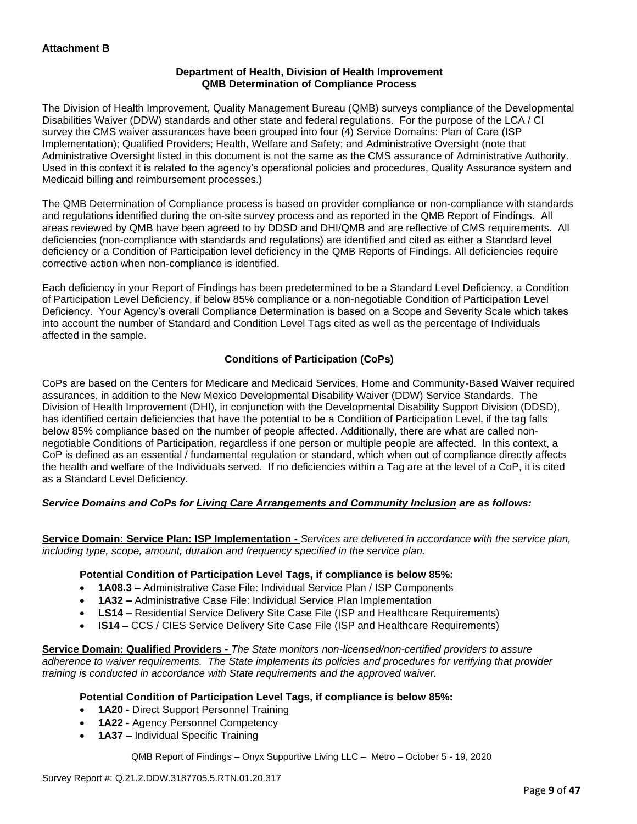## **Department of Health, Division of Health Improvement QMB Determination of Compliance Process**

The Division of Health Improvement, Quality Management Bureau (QMB) surveys compliance of the Developmental Disabilities Waiver (DDW) standards and other state and federal regulations. For the purpose of the LCA / CI survey the CMS waiver assurances have been grouped into four (4) Service Domains: Plan of Care (ISP Implementation); Qualified Providers; Health, Welfare and Safety; and Administrative Oversight (note that Administrative Oversight listed in this document is not the same as the CMS assurance of Administrative Authority. Used in this context it is related to the agency's operational policies and procedures, Quality Assurance system and Medicaid billing and reimbursement processes.)

The QMB Determination of Compliance process is based on provider compliance or non-compliance with standards and regulations identified during the on-site survey process and as reported in the QMB Report of Findings. All areas reviewed by QMB have been agreed to by DDSD and DHI/QMB and are reflective of CMS requirements. All deficiencies (non-compliance with standards and regulations) are identified and cited as either a Standard level deficiency or a Condition of Participation level deficiency in the QMB Reports of Findings. All deficiencies require corrective action when non-compliance is identified.

Each deficiency in your Report of Findings has been predetermined to be a Standard Level Deficiency, a Condition of Participation Level Deficiency, if below 85% compliance or a non-negotiable Condition of Participation Level Deficiency. Your Agency's overall Compliance Determination is based on a Scope and Severity Scale which takes into account the number of Standard and Condition Level Tags cited as well as the percentage of Individuals affected in the sample.

# **Conditions of Participation (CoPs)**

CoPs are based on the Centers for Medicare and Medicaid Services, Home and Community-Based Waiver required assurances, in addition to the New Mexico Developmental Disability Waiver (DDW) Service Standards. The Division of Health Improvement (DHI), in conjunction with the Developmental Disability Support Division (DDSD), has identified certain deficiencies that have the potential to be a Condition of Participation Level, if the tag falls below 85% compliance based on the number of people affected. Additionally, there are what are called nonnegotiable Conditions of Participation, regardless if one person or multiple people are affected. In this context, a CoP is defined as an essential / fundamental regulation or standard, which when out of compliance directly affects the health and welfare of the Individuals served. If no deficiencies within a Tag are at the level of a CoP, it is cited as a Standard Level Deficiency.

# *Service Domains and CoPs for Living Care Arrangements and Community Inclusion are as follows:*

**Service Domain: Service Plan: ISP Implementation -** *Services are delivered in accordance with the service plan, including type, scope, amount, duration and frequency specified in the service plan.*

### **Potential Condition of Participation Level Tags, if compliance is below 85%:**

- **1A08.3 –** Administrative Case File: Individual Service Plan / ISP Components
- **1A32 –** Administrative Case File: Individual Service Plan Implementation
- **LS14 –** Residential Service Delivery Site Case File (ISP and Healthcare Requirements)
- **IS14 –** CCS / CIES Service Delivery Site Case File (ISP and Healthcare Requirements)

**Service Domain: Qualified Providers -** *The State monitors non-licensed/non-certified providers to assure adherence to waiver requirements. The State implements its policies and procedures for verifying that provider training is conducted in accordance with State requirements and the approved waiver.*

### **Potential Condition of Participation Level Tags, if compliance is below 85%:**

- **1A20 -** Direct Support Personnel Training
- **1A22 -** Agency Personnel Competency
- **1A37 –** Individual Specific Training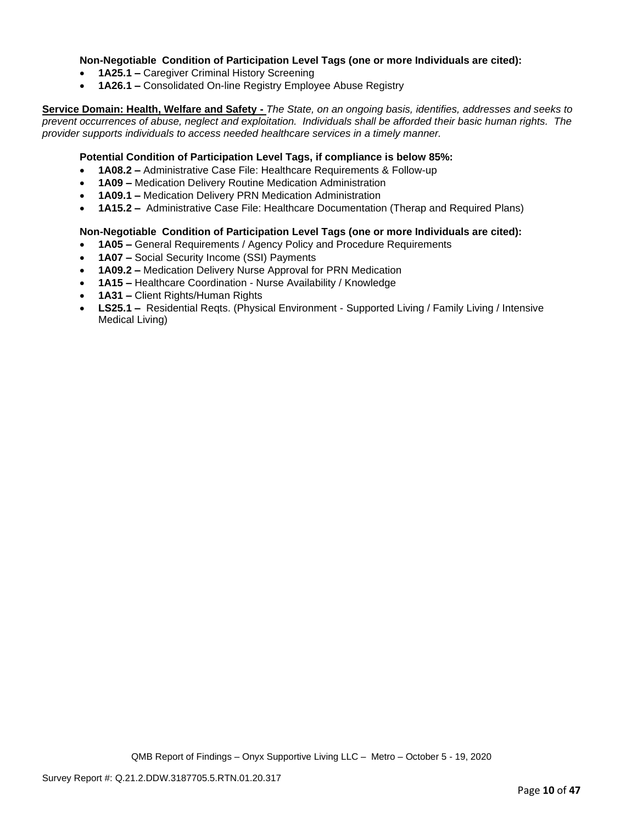## **Non-Negotiable Condition of Participation Level Tags (one or more Individuals are cited):**

- **1A25.1 –** Caregiver Criminal History Screening
- **1A26.1 –** Consolidated On-line Registry Employee Abuse Registry

**Service Domain: Health, Welfare and Safety -** *The State, on an ongoing basis, identifies, addresses and seeks to prevent occurrences of abuse, neglect and exploitation. Individuals shall be afforded their basic human rights. The provider supports individuals to access needed healthcare services in a timely manner.*

### **Potential Condition of Participation Level Tags, if compliance is below 85%:**

- **1A08.2 –** Administrative Case File: Healthcare Requirements & Follow-up
- **1A09 –** Medication Delivery Routine Medication Administration
- **1A09.1 –** Medication Delivery PRN Medication Administration
- **1A15.2 –** Administrative Case File: Healthcare Documentation (Therap and Required Plans)

### **Non-Negotiable Condition of Participation Level Tags (one or more Individuals are cited):**

- **1A05 –** General Requirements / Agency Policy and Procedure Requirements
- **1A07 –** Social Security Income (SSI) Payments
- **1A09.2 –** Medication Delivery Nurse Approval for PRN Medication
- **1A15 –** Healthcare Coordination Nurse Availability / Knowledge
- **1A31 –** Client Rights/Human Rights
- **LS25.1 –** Residential Reqts. (Physical Environment Supported Living / Family Living / Intensive Medical Living)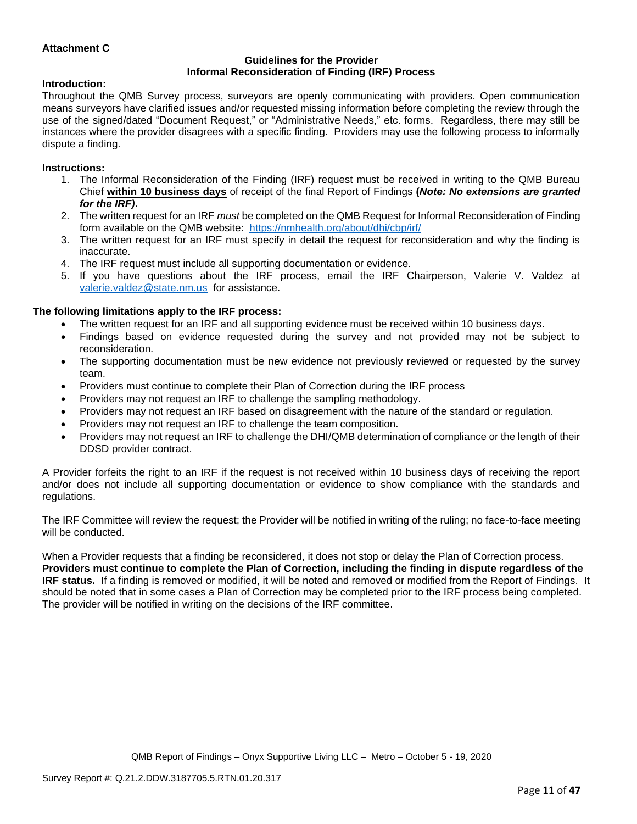## **Attachment C**

#### **Guidelines for the Provider Informal Reconsideration of Finding (IRF) Process**

#### **Introduction:**

Throughout the QMB Survey process, surveyors are openly communicating with providers. Open communication means surveyors have clarified issues and/or requested missing information before completing the review through the use of the signed/dated "Document Request," or "Administrative Needs," etc. forms. Regardless, there may still be instances where the provider disagrees with a specific finding. Providers may use the following process to informally dispute a finding.

#### **Instructions:**

- 1. The Informal Reconsideration of the Finding (IRF) request must be received in writing to the QMB Bureau Chief **within 10 business days** of receipt of the final Report of Findings **(***Note: No extensions are granted for the IRF)***.**
- 2. The written request for an IRF *must* be completed on the QMB Request for Informal Reconsideration of Finding form available on the QMB website: <https://nmhealth.org/about/dhi/cbp/irf/>
- 3. The written request for an IRF must specify in detail the request for reconsideration and why the finding is inaccurate.
- 4. The IRF request must include all supporting documentation or evidence.
- 5. If you have questions about the IRF process, email the IRF Chairperson, Valerie V. Valdez at [valerie.valdez@state.nm.us](mailto:valerie.valdez@state.nm.us) for assistance.

### **The following limitations apply to the IRF process:**

- The written request for an IRF and all supporting evidence must be received within 10 business days.
- Findings based on evidence requested during the survey and not provided may not be subject to reconsideration.
- The supporting documentation must be new evidence not previously reviewed or requested by the survey team.
- Providers must continue to complete their Plan of Correction during the IRF process
- Providers may not request an IRF to challenge the sampling methodology.
- Providers may not request an IRF based on disagreement with the nature of the standard or regulation.
- Providers may not request an IRF to challenge the team composition.
- Providers may not request an IRF to challenge the DHI/QMB determination of compliance or the length of their DDSD provider contract.

A Provider forfeits the right to an IRF if the request is not received within 10 business days of receiving the report and/or does not include all supporting documentation or evidence to show compliance with the standards and regulations.

The IRF Committee will review the request; the Provider will be notified in writing of the ruling; no face-to-face meeting will be conducted.

When a Provider requests that a finding be reconsidered, it does not stop or delay the Plan of Correction process. **Providers must continue to complete the Plan of Correction, including the finding in dispute regardless of the IRF status.** If a finding is removed or modified, it will be noted and removed or modified from the Report of Findings. It should be noted that in some cases a Plan of Correction may be completed prior to the IRF process being completed. The provider will be notified in writing on the decisions of the IRF committee.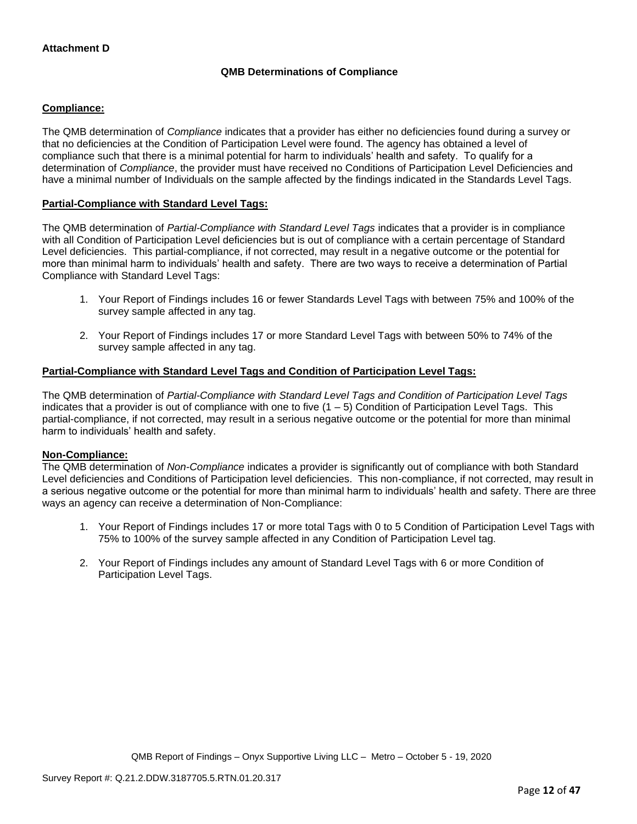# **QMB Determinations of Compliance**

## **Compliance:**

The QMB determination of *Compliance* indicates that a provider has either no deficiencies found during a survey or that no deficiencies at the Condition of Participation Level were found. The agency has obtained a level of compliance such that there is a minimal potential for harm to individuals' health and safety. To qualify for a determination of *Compliance*, the provider must have received no Conditions of Participation Level Deficiencies and have a minimal number of Individuals on the sample affected by the findings indicated in the Standards Level Tags.

## **Partial-Compliance with Standard Level Tags:**

The QMB determination of *Partial-Compliance with Standard Level Tags* indicates that a provider is in compliance with all Condition of Participation Level deficiencies but is out of compliance with a certain percentage of Standard Level deficiencies. This partial-compliance, if not corrected, may result in a negative outcome or the potential for more than minimal harm to individuals' health and safety. There are two ways to receive a determination of Partial Compliance with Standard Level Tags:

- 1. Your Report of Findings includes 16 or fewer Standards Level Tags with between 75% and 100% of the survey sample affected in any tag.
- 2. Your Report of Findings includes 17 or more Standard Level Tags with between 50% to 74% of the survey sample affected in any tag.

# **Partial-Compliance with Standard Level Tags and Condition of Participation Level Tags:**

The QMB determination of *Partial-Compliance with Standard Level Tags and Condition of Participation Level Tags*  indicates that a provider is out of compliance with one to five  $(1 - 5)$  Condition of Participation Level Tags. This partial-compliance, if not corrected, may result in a serious negative outcome or the potential for more than minimal harm to individuals' health and safety.

### **Non-Compliance:**

The QMB determination of *Non-Compliance* indicates a provider is significantly out of compliance with both Standard Level deficiencies and Conditions of Participation level deficiencies. This non-compliance, if not corrected, may result in a serious negative outcome or the potential for more than minimal harm to individuals' health and safety. There are three ways an agency can receive a determination of Non-Compliance:

- 1. Your Report of Findings includes 17 or more total Tags with 0 to 5 Condition of Participation Level Tags with 75% to 100% of the survey sample affected in any Condition of Participation Level tag.
- 2. Your Report of Findings includes any amount of Standard Level Tags with 6 or more Condition of Participation Level Tags.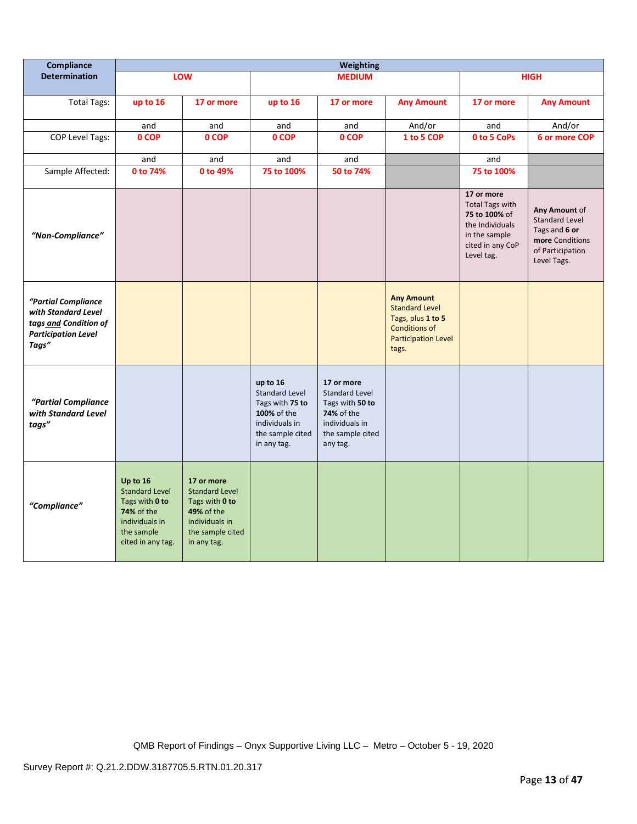| Compliance                                                                                                 | <b>Weighting</b>                                                                                                              |                                                                                                                                 |                                                                                                                          |                                                                                                                        |                                                                                                                                |                                                                                                                             |                                                                                                               |
|------------------------------------------------------------------------------------------------------------|-------------------------------------------------------------------------------------------------------------------------------|---------------------------------------------------------------------------------------------------------------------------------|--------------------------------------------------------------------------------------------------------------------------|------------------------------------------------------------------------------------------------------------------------|--------------------------------------------------------------------------------------------------------------------------------|-----------------------------------------------------------------------------------------------------------------------------|---------------------------------------------------------------------------------------------------------------|
| <b>Determination</b>                                                                                       |                                                                                                                               | LOW                                                                                                                             |                                                                                                                          | <b>MEDIUM</b>                                                                                                          |                                                                                                                                |                                                                                                                             | <b>HIGH</b>                                                                                                   |
| <b>Total Tags:</b>                                                                                         | up to 16                                                                                                                      | 17 or more                                                                                                                      | up to 16                                                                                                                 | 17 or more                                                                                                             | <b>Any Amount</b>                                                                                                              | 17 or more                                                                                                                  | <b>Any Amount</b>                                                                                             |
|                                                                                                            | and                                                                                                                           | and                                                                                                                             | and                                                                                                                      | and                                                                                                                    | And/or                                                                                                                         | and                                                                                                                         | And/or                                                                                                        |
| <b>COP Level Tags:</b>                                                                                     | 0 COP                                                                                                                         | 0 COP                                                                                                                           | 0 COP                                                                                                                    | 0 COP                                                                                                                  | 1 to 5 COP                                                                                                                     | 0 to 5 CoPs                                                                                                                 | 6 or more COP                                                                                                 |
|                                                                                                            | and                                                                                                                           | and                                                                                                                             | and                                                                                                                      | and                                                                                                                    |                                                                                                                                | and                                                                                                                         |                                                                                                               |
| Sample Affected:                                                                                           | 0 to 74%                                                                                                                      | 0 to 49%                                                                                                                        | 75 to 100%                                                                                                               | 50 to 74%                                                                                                              |                                                                                                                                | 75 to 100%                                                                                                                  |                                                                                                               |
| "Non-Compliance"                                                                                           |                                                                                                                               |                                                                                                                                 |                                                                                                                          |                                                                                                                        |                                                                                                                                | 17 or more<br><b>Total Tags with</b><br>75 to 100% of<br>the Individuals<br>in the sample<br>cited in any CoP<br>Level tag. | Any Amount of<br><b>Standard Level</b><br>Tags and 6 or<br>more Conditions<br>of Participation<br>Level Tags. |
| "Partial Compliance<br>with Standard Level<br>tags and Condition of<br><b>Participation Level</b><br>Tags" |                                                                                                                               |                                                                                                                                 |                                                                                                                          |                                                                                                                        | <b>Any Amount</b><br><b>Standard Level</b><br>Tags, plus 1 to 5<br><b>Conditions of</b><br><b>Participation Level</b><br>tags. |                                                                                                                             |                                                                                                               |
| "Partial Compliance<br>with Standard Level<br>tags"                                                        |                                                                                                                               |                                                                                                                                 | up to 16<br><b>Standard Level</b><br>Tags with 75 to<br>100% of the<br>individuals in<br>the sample cited<br>in any tag. | 17 or more<br><b>Standard Level</b><br>Tags with 50 to<br>74% of the<br>individuals in<br>the sample cited<br>any tag. |                                                                                                                                |                                                                                                                             |                                                                                                               |
| "Compliance"                                                                                               | Up to 16<br><b>Standard Level</b><br>Tags with 0 to<br><b>74% of the</b><br>individuals in<br>the sample<br>cited in any tag. | 17 or more<br><b>Standard Level</b><br>Tags with 0 to<br><b>49% of the</b><br>individuals in<br>the sample cited<br>in any tag. |                                                                                                                          |                                                                                                                        |                                                                                                                                |                                                                                                                             |                                                                                                               |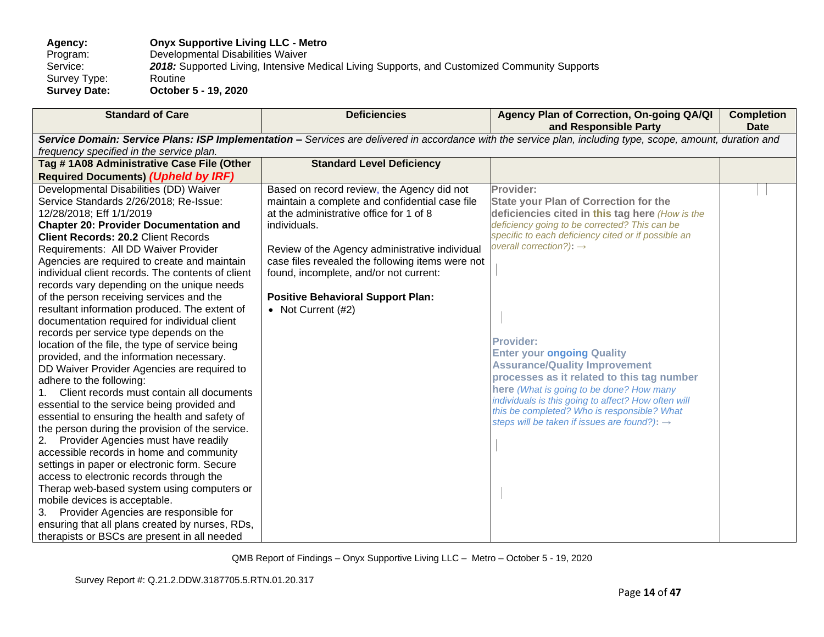# **Agency: Onyx Supportive Living LLC - Metro** Program: Developmental Disabilities Waiver<br>Service: 2018: Supported Living, Intensive I 2018: Supported Living, Intensive Medical Living Supports, and Customized Community Supports<br>Routine Survey Type:<br>Survey Date: **Survey Date: October 5 - 19, 2020**

| <b>Standard of Care</b>                                                 | <b>Deficiencies</b>                              | Agency Plan of Correction, On-going QA/QI<br>and Responsible Party                                                                                          | <b>Completion</b><br><b>Date</b> |
|-------------------------------------------------------------------------|--------------------------------------------------|-------------------------------------------------------------------------------------------------------------------------------------------------------------|----------------------------------|
|                                                                         |                                                  | Service Domain: Service Plans: ISP Implementation - Services are delivered in accordance with the service plan, including type, scope, amount, duration and |                                  |
| frequency specified in the service plan.                                |                                                  |                                                                                                                                                             |                                  |
| Tag #1A08 Administrative Case File (Other                               | <b>Standard Level Deficiency</b>                 |                                                                                                                                                             |                                  |
| <b>Required Documents) (Upheld by IRF)</b>                              |                                                  |                                                                                                                                                             |                                  |
| Developmental Disabilities (DD) Waiver                                  | Based on record review, the Agency did not       | Provider:                                                                                                                                                   |                                  |
| Service Standards 2/26/2018; Re-Issue:                                  | maintain a complete and confidential case file   | <b>State your Plan of Correction for the</b>                                                                                                                |                                  |
| 12/28/2018; Eff 1/1/2019                                                | at the administrative office for 1 of 8          | deficiencies cited in this tag here (How is the                                                                                                             |                                  |
| <b>Chapter 20: Provider Documentation and</b>                           | individuals.                                     | deficiency going to be corrected? This can be                                                                                                               |                                  |
| <b>Client Records: 20.2 Client Records</b>                              |                                                  | specific to each deficiency cited or if possible an                                                                                                         |                                  |
| Requirements: All DD Waiver Provider                                    | Review of the Agency administrative individual   | overall correction?): $\rightarrow$                                                                                                                         |                                  |
| Agencies are required to create and maintain                            | case files revealed the following items were not |                                                                                                                                                             |                                  |
| individual client records. The contents of client                       | found, incomplete, and/or not current:           |                                                                                                                                                             |                                  |
| records vary depending on the unique needs                              |                                                  |                                                                                                                                                             |                                  |
| of the person receiving services and the                                | <b>Positive Behavioral Support Plan:</b>         |                                                                                                                                                             |                                  |
| resultant information produced. The extent of                           | • Not Current (#2)                               |                                                                                                                                                             |                                  |
| documentation required for individual client                            |                                                  |                                                                                                                                                             |                                  |
| records per service type depends on the                                 |                                                  | <b>Provider:</b>                                                                                                                                            |                                  |
| location of the file, the type of service being                         |                                                  | <b>Enter your ongoing Quality</b>                                                                                                                           |                                  |
| provided, and the information necessary.                                |                                                  | <b>Assurance/Quality Improvement</b>                                                                                                                        |                                  |
| DD Waiver Provider Agencies are required to<br>adhere to the following: |                                                  | processes as it related to this tag number                                                                                                                  |                                  |
| Client records must contain all documents<br>1.                         |                                                  | here (What is going to be done? How many                                                                                                                    |                                  |
| essential to the service being provided and                             |                                                  | individuals is this going to affect? How often will                                                                                                         |                                  |
| essential to ensuring the health and safety of                          |                                                  | this be completed? Who is responsible? What                                                                                                                 |                                  |
| the person during the provision of the service.                         |                                                  | steps will be taken if issues are found?): →                                                                                                                |                                  |
| Provider Agencies must have readily                                     |                                                  |                                                                                                                                                             |                                  |
| accessible records in home and community                                |                                                  |                                                                                                                                                             |                                  |
| settings in paper or electronic form. Secure                            |                                                  |                                                                                                                                                             |                                  |
| access to electronic records through the                                |                                                  |                                                                                                                                                             |                                  |
| Therap web-based system using computers or                              |                                                  |                                                                                                                                                             |                                  |
| mobile devices is acceptable.                                           |                                                  |                                                                                                                                                             |                                  |
| Provider Agencies are responsible for<br>3.                             |                                                  |                                                                                                                                                             |                                  |
| ensuring that all plans created by nurses, RDs,                         |                                                  |                                                                                                                                                             |                                  |
| therapists or BSCs are present in all needed                            |                                                  |                                                                                                                                                             |                                  |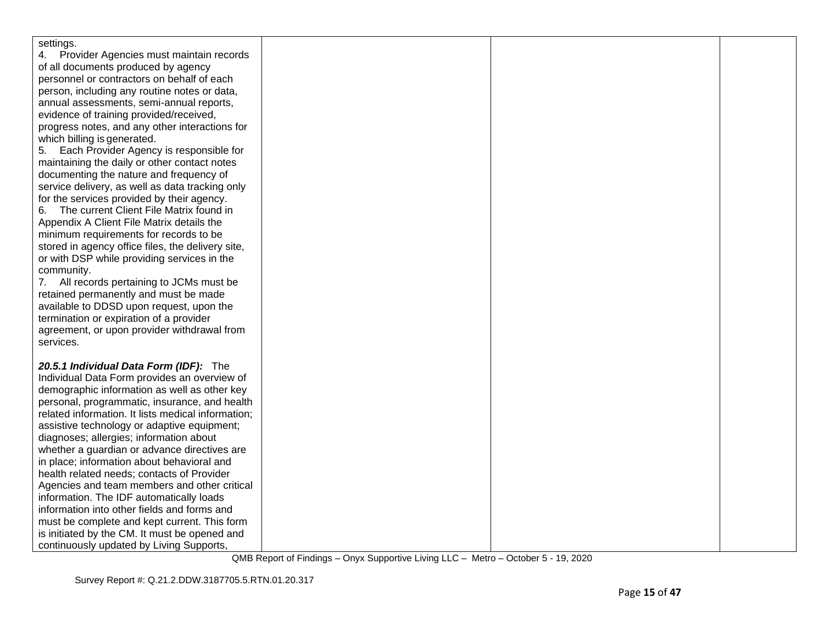| settings.                                          |  |  |
|----------------------------------------------------|--|--|
| 4. Provider Agencies must maintain records         |  |  |
| of all documents produced by agency                |  |  |
| personnel or contractors on behalf of each         |  |  |
| person, including any routine notes or data,       |  |  |
|                                                    |  |  |
| annual assessments, semi-annual reports,           |  |  |
| evidence of training provided/received,            |  |  |
| progress notes, and any other interactions for     |  |  |
| which billing is generated.                        |  |  |
| Each Provider Agency is responsible for<br>5.      |  |  |
| maintaining the daily or other contact notes       |  |  |
| documenting the nature and frequency of            |  |  |
| service delivery, as well as data tracking only    |  |  |
| for the services provided by their agency.         |  |  |
| 6. The current Client File Matrix found in         |  |  |
| Appendix A Client File Matrix details the          |  |  |
| minimum requirements for records to be             |  |  |
| stored in agency office files, the delivery site,  |  |  |
| or with DSP while providing services in the        |  |  |
| community.                                         |  |  |
| 7. All records pertaining to JCMs must be          |  |  |
| retained permanently and must be made              |  |  |
| available to DDSD upon request, upon the           |  |  |
| termination or expiration of a provider            |  |  |
| agreement, or upon provider withdrawal from        |  |  |
| services.                                          |  |  |
|                                                    |  |  |
| 20.5.1 Individual Data Form (IDF): The             |  |  |
| Individual Data Form provides an overview of       |  |  |
| demographic information as well as other key       |  |  |
| personal, programmatic, insurance, and health      |  |  |
| related information. It lists medical information; |  |  |
| assistive technology or adaptive equipment;        |  |  |
|                                                    |  |  |
| diagnoses; allergies; information about            |  |  |
| whether a guardian or advance directives are       |  |  |
| in place; information about behavioral and         |  |  |
| health related needs; contacts of Provider         |  |  |
| Agencies and team members and other critical       |  |  |
| information. The IDF automatically loads           |  |  |
| information into other fields and forms and        |  |  |
| must be complete and kept current. This form       |  |  |
| is initiated by the CM. It must be opened and      |  |  |
| continuously updated by Living Supports,           |  |  |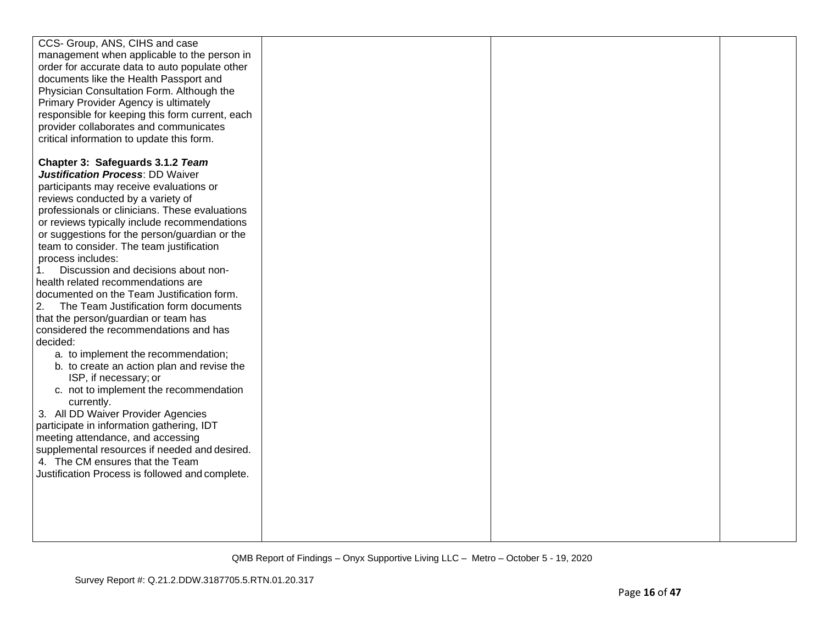| CCS- Group, ANS, CIHS and case<br>management when applicable to the person in |  |  |
|-------------------------------------------------------------------------------|--|--|
|                                                                               |  |  |
| order for accurate data to auto populate other                                |  |  |
| documents like the Health Passport and                                        |  |  |
| Physician Consultation Form. Although the                                     |  |  |
| Primary Provider Agency is ultimately                                         |  |  |
| responsible for keeping this form current, each                               |  |  |
| provider collaborates and communicates                                        |  |  |
| critical information to update this form.                                     |  |  |
|                                                                               |  |  |
| Chapter 3: Safeguards 3.1.2 Team                                              |  |  |
| Justification Process: DD Waiver                                              |  |  |
| participants may receive evaluations or                                       |  |  |
| reviews conducted by a variety of                                             |  |  |
| professionals or clinicians. These evaluations                                |  |  |
| or reviews typically include recommendations                                  |  |  |
| or suggestions for the person/guardian or the                                 |  |  |
| team to consider. The team justification                                      |  |  |
| process includes:                                                             |  |  |
| Discussion and decisions about non-<br>$\mathbf{1}$ .                         |  |  |
| health related recommendations are                                            |  |  |
| documented on the Team Justification form.                                    |  |  |
| 2.<br>The Team Justification form documents                                   |  |  |
| that the person/guardian or team has                                          |  |  |
| considered the recommendations and has                                        |  |  |
| decided:                                                                      |  |  |
| a. to implement the recommendation;                                           |  |  |
| b. to create an action plan and revise the                                    |  |  |
| ISP, if necessary; or                                                         |  |  |
| c. not to implement the recommendation                                        |  |  |
| currently.                                                                    |  |  |
| 3. All DD Waiver Provider Agencies                                            |  |  |
| participate in information gathering, IDT                                     |  |  |
| meeting attendance, and accessing                                             |  |  |
| supplemental resources if needed and desired.                                 |  |  |
| 4. The CM ensures that the Team                                               |  |  |
| Justification Process is followed and complete.                               |  |  |
|                                                                               |  |  |
|                                                                               |  |  |
|                                                                               |  |  |
|                                                                               |  |  |
|                                                                               |  |  |
|                                                                               |  |  |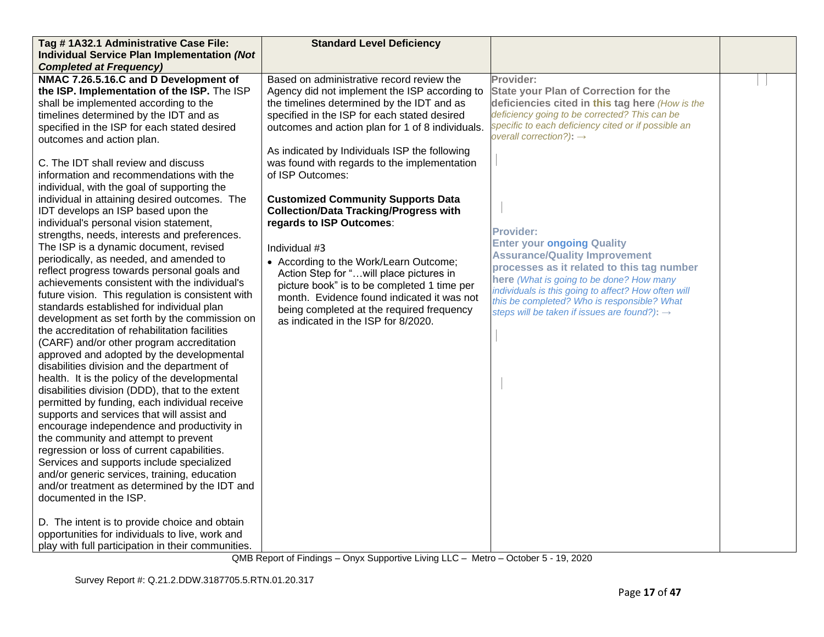| Tag # 1A32.1 Administrative Case File:                                                                                                                                                                                                                                                                                                                                                                                                                                                                                                                                                                                                                                                                                                                                                                                                                                                                                                                                                                                                                                                                                                                                                                                                                                                                                                                                                                                                                                                                                                                                                                                                                                       | <b>Standard Level Deficiency</b>                                                                                                                                                                                                                                                                                                                                                                                                                                                                                                                                                                                                                                                                                                                                                   |                                                                                                                                                                                                                                                                                                                                                                                                                                                                                                                                                                                                                          |  |
|------------------------------------------------------------------------------------------------------------------------------------------------------------------------------------------------------------------------------------------------------------------------------------------------------------------------------------------------------------------------------------------------------------------------------------------------------------------------------------------------------------------------------------------------------------------------------------------------------------------------------------------------------------------------------------------------------------------------------------------------------------------------------------------------------------------------------------------------------------------------------------------------------------------------------------------------------------------------------------------------------------------------------------------------------------------------------------------------------------------------------------------------------------------------------------------------------------------------------------------------------------------------------------------------------------------------------------------------------------------------------------------------------------------------------------------------------------------------------------------------------------------------------------------------------------------------------------------------------------------------------------------------------------------------------|------------------------------------------------------------------------------------------------------------------------------------------------------------------------------------------------------------------------------------------------------------------------------------------------------------------------------------------------------------------------------------------------------------------------------------------------------------------------------------------------------------------------------------------------------------------------------------------------------------------------------------------------------------------------------------------------------------------------------------------------------------------------------------|--------------------------------------------------------------------------------------------------------------------------------------------------------------------------------------------------------------------------------------------------------------------------------------------------------------------------------------------------------------------------------------------------------------------------------------------------------------------------------------------------------------------------------------------------------------------------------------------------------------------------|--|
| <b>Individual Service Plan Implementation (Not</b>                                                                                                                                                                                                                                                                                                                                                                                                                                                                                                                                                                                                                                                                                                                                                                                                                                                                                                                                                                                                                                                                                                                                                                                                                                                                                                                                                                                                                                                                                                                                                                                                                           |                                                                                                                                                                                                                                                                                                                                                                                                                                                                                                                                                                                                                                                                                                                                                                                    |                                                                                                                                                                                                                                                                                                                                                                                                                                                                                                                                                                                                                          |  |
| <b>Completed at Frequency)</b>                                                                                                                                                                                                                                                                                                                                                                                                                                                                                                                                                                                                                                                                                                                                                                                                                                                                                                                                                                                                                                                                                                                                                                                                                                                                                                                                                                                                                                                                                                                                                                                                                                               |                                                                                                                                                                                                                                                                                                                                                                                                                                                                                                                                                                                                                                                                                                                                                                                    |                                                                                                                                                                                                                                                                                                                                                                                                                                                                                                                                                                                                                          |  |
| NMAC 7.26.5.16.C and D Development of<br>the ISP. Implementation of the ISP. The ISP<br>shall be implemented according to the<br>timelines determined by the IDT and as<br>specified in the ISP for each stated desired<br>outcomes and action plan.<br>C. The IDT shall review and discuss<br>information and recommendations with the<br>individual, with the goal of supporting the<br>individual in attaining desired outcomes. The<br>IDT develops an ISP based upon the<br>individual's personal vision statement,<br>strengths, needs, interests and preferences.<br>The ISP is a dynamic document, revised<br>periodically, as needed, and amended to<br>reflect progress towards personal goals and<br>achievements consistent with the individual's<br>future vision. This regulation is consistent with<br>standards established for individual plan<br>development as set forth by the commission on<br>the accreditation of rehabilitation facilities<br>(CARF) and/or other program accreditation<br>approved and adopted by the developmental<br>disabilities division and the department of<br>health. It is the policy of the developmental<br>disabilities division (DDD), that to the extent<br>permitted by funding, each individual receive<br>supports and services that will assist and<br>encourage independence and productivity in<br>the community and attempt to prevent<br>regression or loss of current capabilities.<br>Services and supports include specialized<br>and/or generic services, training, education<br>and/or treatment as determined by the IDT and<br>documented in the ISP.<br>D. The intent is to provide choice and obtain | Based on administrative record review the<br>Agency did not implement the ISP according to<br>the timelines determined by the IDT and as<br>specified in the ISP for each stated desired<br>outcomes and action plan for 1 of 8 individuals.<br>As indicated by Individuals ISP the following<br>was found with regards to the implementation<br>of ISP Outcomes:<br><b>Customized Community Supports Data</b><br><b>Collection/Data Tracking/Progress with</b><br>regards to ISP Outcomes:<br>Individual #3<br>• According to the Work/Learn Outcome;<br>Action Step for "will place pictures in<br>picture book" is to be completed 1 time per<br>month. Evidence found indicated it was not<br>being completed at the required frequency<br>as indicated in the ISP for 8/2020. | Provider:<br><b>State your Plan of Correction for the</b><br>deficiencies cited in this tag here (How is the<br>deficiency going to be corrected? This can be<br>specific to each deficiency cited or if possible an<br>overall correction?): $\rightarrow$<br><b>Provider:</b><br><b>Enter your ongoing Quality</b><br><b>Assurance/Quality Improvement</b><br>processes as it related to this tag number<br>here (What is going to be done? How many<br>individuals is this going to affect? How often will<br>this be completed? Who is responsible? What<br>steps will be taken if issues are found?): $\rightarrow$ |  |
| opportunities for individuals to live, work and                                                                                                                                                                                                                                                                                                                                                                                                                                                                                                                                                                                                                                                                                                                                                                                                                                                                                                                                                                                                                                                                                                                                                                                                                                                                                                                                                                                                                                                                                                                                                                                                                              |                                                                                                                                                                                                                                                                                                                                                                                                                                                                                                                                                                                                                                                                                                                                                                                    |                                                                                                                                                                                                                                                                                                                                                                                                                                                                                                                                                                                                                          |  |
| play with full participation in their communities.                                                                                                                                                                                                                                                                                                                                                                                                                                                                                                                                                                                                                                                                                                                                                                                                                                                                                                                                                                                                                                                                                                                                                                                                                                                                                                                                                                                                                                                                                                                                                                                                                           |                                                                                                                                                                                                                                                                                                                                                                                                                                                                                                                                                                                                                                                                                                                                                                                    |                                                                                                                                                                                                                                                                                                                                                                                                                                                                                                                                                                                                                          |  |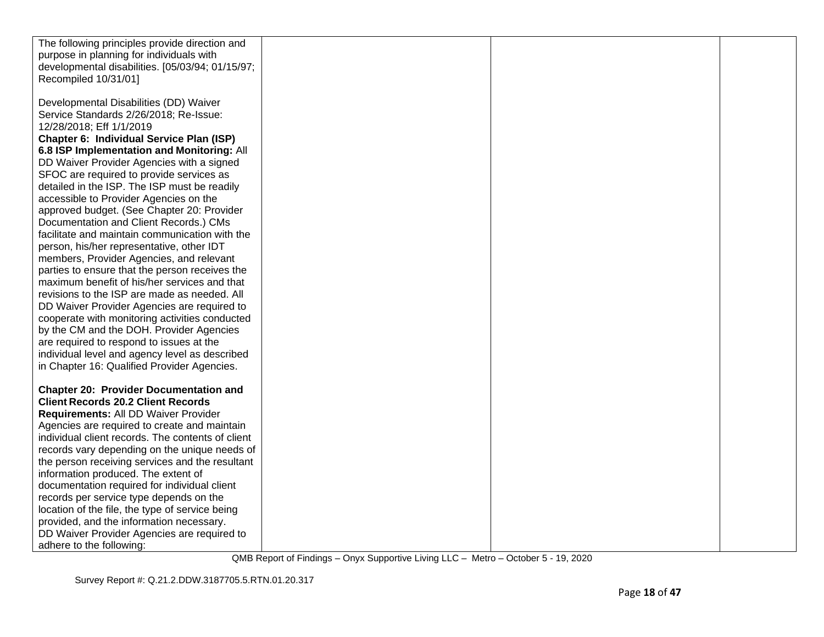| The following principles provide direction and    |  |
|---------------------------------------------------|--|
| purpose in planning for individuals with          |  |
| developmental disabilities. [05/03/94; 01/15/97;  |  |
| Recompiled 10/31/01]                              |  |
|                                                   |  |
| Developmental Disabilities (DD) Waiver            |  |
| Service Standards 2/26/2018; Re-Issue:            |  |
|                                                   |  |
| 12/28/2018; Eff 1/1/2019                          |  |
| Chapter 6: Individual Service Plan (ISP)          |  |
| 6.8 ISP Implementation and Monitoring: All        |  |
| DD Waiver Provider Agencies with a signed         |  |
| SFOC are required to provide services as          |  |
| detailed in the ISP. The ISP must be readily      |  |
| accessible to Provider Agencies on the            |  |
| approved budget. (See Chapter 20: Provider        |  |
| Documentation and Client Records.) CMs            |  |
| facilitate and maintain communication with the    |  |
| person, his/her representative, other IDT         |  |
| members, Provider Agencies, and relevant          |  |
| parties to ensure that the person receives the    |  |
| maximum benefit of his/her services and that      |  |
| revisions to the ISP are made as needed. All      |  |
| DD Waiver Provider Agencies are required to       |  |
| cooperate with monitoring activities conducted    |  |
| by the CM and the DOH. Provider Agencies          |  |
| are required to respond to issues at the          |  |
| individual level and agency level as described    |  |
| in Chapter 16: Qualified Provider Agencies.       |  |
|                                                   |  |
| <b>Chapter 20: Provider Documentation and</b>     |  |
| <b>Client Records 20.2 Client Records</b>         |  |
| Requirements: All DD Waiver Provider              |  |
| Agencies are required to create and maintain      |  |
| individual client records. The contents of client |  |
| records vary depending on the unique needs of     |  |
| the person receiving services and the resultant   |  |
| information produced. The extent of               |  |
| documentation required for individual client      |  |
| records per service type depends on the           |  |
| location of the file, the type of service being   |  |
| provided, and the information necessary.          |  |
| DD Waiver Provider Agencies are required to       |  |
| adhere to the following:                          |  |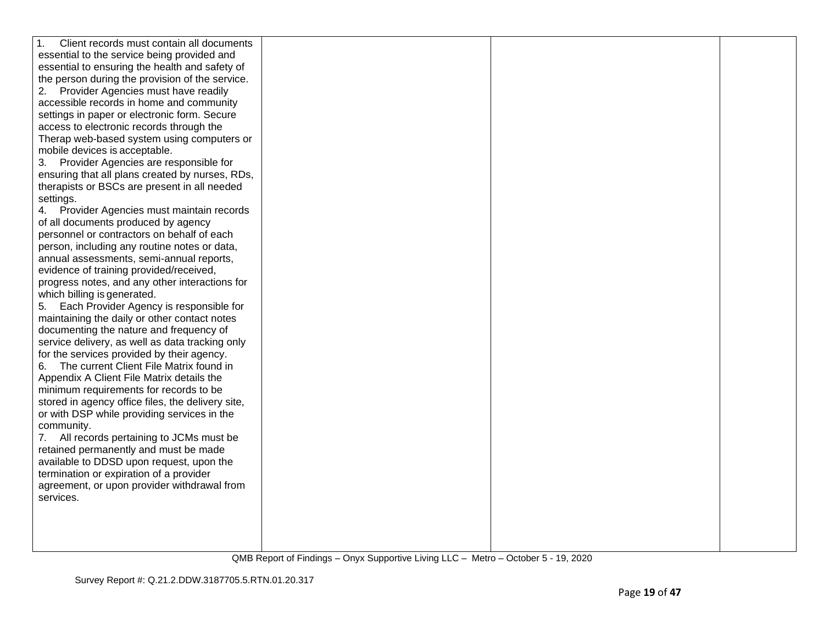| Client records must contain all documents<br>1.                                   |  |  |
|-----------------------------------------------------------------------------------|--|--|
| essential to the service being provided and                                       |  |  |
| essential to ensuring the health and safety of                                    |  |  |
| the person during the provision of the service.                                   |  |  |
| 2. Provider Agencies must have readily                                            |  |  |
| accessible records in home and community                                          |  |  |
| settings in paper or electronic form. Secure                                      |  |  |
| access to electronic records through the                                          |  |  |
| Therap web-based system using computers or                                        |  |  |
| mobile devices is acceptable.                                                     |  |  |
| 3.<br>Provider Agencies are responsible for                                       |  |  |
| ensuring that all plans created by nurses, RDs,                                   |  |  |
| therapists or BSCs are present in all needed                                      |  |  |
| settings.                                                                         |  |  |
| 4. Provider Agencies must maintain records                                        |  |  |
| of all documents produced by agency                                               |  |  |
| personnel or contractors on behalf of each                                        |  |  |
| person, including any routine notes or data,                                      |  |  |
| annual assessments, semi-annual reports,                                          |  |  |
| evidence of training provided/received,                                           |  |  |
| progress notes, and any other interactions for                                    |  |  |
| which billing is generated.                                                       |  |  |
| Each Provider Agency is responsible for<br>5.                                     |  |  |
| maintaining the daily or other contact notes                                      |  |  |
| documenting the nature and frequency of                                           |  |  |
| service delivery, as well as data tracking only                                   |  |  |
| for the services provided by their agency.                                        |  |  |
| The current Client File Matrix found in<br>6.                                     |  |  |
| Appendix A Client File Matrix details the                                         |  |  |
| minimum requirements for records to be                                            |  |  |
| stored in agency office files, the delivery site,                                 |  |  |
| or with DSP while providing services in the                                       |  |  |
| community.                                                                        |  |  |
| 7. All records pertaining to JCMs must be                                         |  |  |
| retained permanently and must be made<br>available to DDSD upon request, upon the |  |  |
| termination or expiration of a provider                                           |  |  |
| agreement, or upon provider withdrawal from                                       |  |  |
| services.                                                                         |  |  |
|                                                                                   |  |  |
|                                                                                   |  |  |
|                                                                                   |  |  |
|                                                                                   |  |  |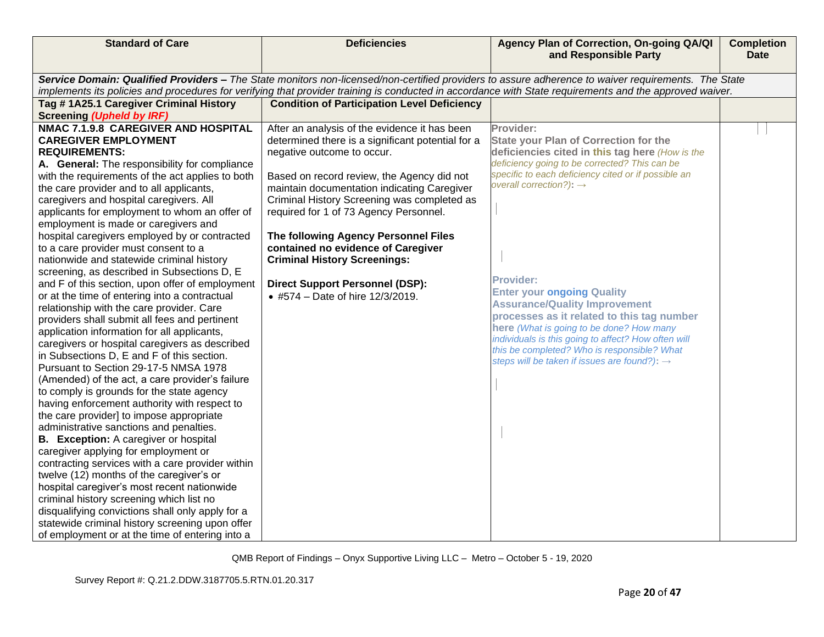| <b>Standard of Care</b>                                                                                                                                                                                                                                                                                                                                                                                                                                                                                                                                                                                                                                                                                                                                                                                                                                                                                                                                                                                                                                                                                                                                                                                                                                                                                                                                                                                                                                                                                                                                                                                                                            | <b>Deficiencies</b>                                                                                                                                                                                                                                                                                                                                                                                                                                                                                                       | Agency Plan of Correction, On-going QA/QI<br>and Responsible Party                                                                                                                                                                                                                                                                                                                                                                                                                                                                                                                                                       | <b>Completion</b><br><b>Date</b> |
|----------------------------------------------------------------------------------------------------------------------------------------------------------------------------------------------------------------------------------------------------------------------------------------------------------------------------------------------------------------------------------------------------------------------------------------------------------------------------------------------------------------------------------------------------------------------------------------------------------------------------------------------------------------------------------------------------------------------------------------------------------------------------------------------------------------------------------------------------------------------------------------------------------------------------------------------------------------------------------------------------------------------------------------------------------------------------------------------------------------------------------------------------------------------------------------------------------------------------------------------------------------------------------------------------------------------------------------------------------------------------------------------------------------------------------------------------------------------------------------------------------------------------------------------------------------------------------------------------------------------------------------------------|---------------------------------------------------------------------------------------------------------------------------------------------------------------------------------------------------------------------------------------------------------------------------------------------------------------------------------------------------------------------------------------------------------------------------------------------------------------------------------------------------------------------------|--------------------------------------------------------------------------------------------------------------------------------------------------------------------------------------------------------------------------------------------------------------------------------------------------------------------------------------------------------------------------------------------------------------------------------------------------------------------------------------------------------------------------------------------------------------------------------------------------------------------------|----------------------------------|
|                                                                                                                                                                                                                                                                                                                                                                                                                                                                                                                                                                                                                                                                                                                                                                                                                                                                                                                                                                                                                                                                                                                                                                                                                                                                                                                                                                                                                                                                                                                                                                                                                                                    |                                                                                                                                                                                                                                                                                                                                                                                                                                                                                                                           | Service Domain: Qualified Providers - The State monitors non-licensed/non-certified providers to assure adherence to waiver requirements. The State                                                                                                                                                                                                                                                                                                                                                                                                                                                                      |                                  |
|                                                                                                                                                                                                                                                                                                                                                                                                                                                                                                                                                                                                                                                                                                                                                                                                                                                                                                                                                                                                                                                                                                                                                                                                                                                                                                                                                                                                                                                                                                                                                                                                                                                    |                                                                                                                                                                                                                                                                                                                                                                                                                                                                                                                           | implements its policies and procedures for verifying that provider training is conducted in accordance with State requirements and the approved waiver.                                                                                                                                                                                                                                                                                                                                                                                                                                                                  |                                  |
| Tag # 1A25.1 Caregiver Criminal History<br><b>Screening (Upheld by IRF)</b>                                                                                                                                                                                                                                                                                                                                                                                                                                                                                                                                                                                                                                                                                                                                                                                                                                                                                                                                                                                                                                                                                                                                                                                                                                                                                                                                                                                                                                                                                                                                                                        | <b>Condition of Participation Level Deficiency</b>                                                                                                                                                                                                                                                                                                                                                                                                                                                                        |                                                                                                                                                                                                                                                                                                                                                                                                                                                                                                                                                                                                                          |                                  |
| NMAC 7.1.9.8 CAREGIVER AND HOSPITAL<br><b>CAREGIVER EMPLOYMENT</b><br><b>REQUIREMENTS:</b><br>A. General: The responsibility for compliance<br>with the requirements of the act applies to both<br>the care provider and to all applicants,<br>caregivers and hospital caregivers. All<br>applicants for employment to whom an offer of<br>employment is made or caregivers and<br>hospital caregivers employed by or contracted<br>to a care provider must consent to a<br>nationwide and statewide criminal history<br>screening, as described in Subsections D, E<br>and F of this section, upon offer of employment<br>or at the time of entering into a contractual<br>relationship with the care provider. Care<br>providers shall submit all fees and pertinent<br>application information for all applicants,<br>caregivers or hospital caregivers as described<br>in Subsections D, E and F of this section.<br>Pursuant to Section 29-17-5 NMSA 1978<br>(Amended) of the act, a care provider's failure<br>to comply is grounds for the state agency<br>having enforcement authority with respect to<br>the care provider] to impose appropriate<br>administrative sanctions and penalties.<br><b>B.</b> Exception: A caregiver or hospital<br>caregiver applying for employment or<br>contracting services with a care provider within<br>twelve (12) months of the caregiver's or<br>hospital caregiver's most recent nationwide<br>criminal history screening which list no<br>disqualifying convictions shall only apply for a<br>statewide criminal history screening upon offer<br>of employment or at the time of entering into a | After an analysis of the evidence it has been<br>determined there is a significant potential for a<br>negative outcome to occur.<br>Based on record review, the Agency did not<br>maintain documentation indicating Caregiver<br>Criminal History Screening was completed as<br>required for 1 of 73 Agency Personnel.<br>The following Agency Personnel Files<br>contained no evidence of Caregiver<br><b>Criminal History Screenings:</b><br><b>Direct Support Personnel (DSP):</b><br>• #574 - Date of hire 12/3/2019. | Provider:<br><b>State your Plan of Correction for the</b><br>deficiencies cited in this tag here (How is the<br>deficiency going to be corrected? This can be<br>specific to each deficiency cited or if possible an<br>overall correction?): $\rightarrow$<br><b>Provider:</b><br><b>Enter your ongoing Quality</b><br><b>Assurance/Quality Improvement</b><br>processes as it related to this tag number<br>here (What is going to be done? How many<br>individuals is this going to affect? How often will<br>this be completed? Who is responsible? What<br>steps will be taken if issues are found?): $\rightarrow$ |                                  |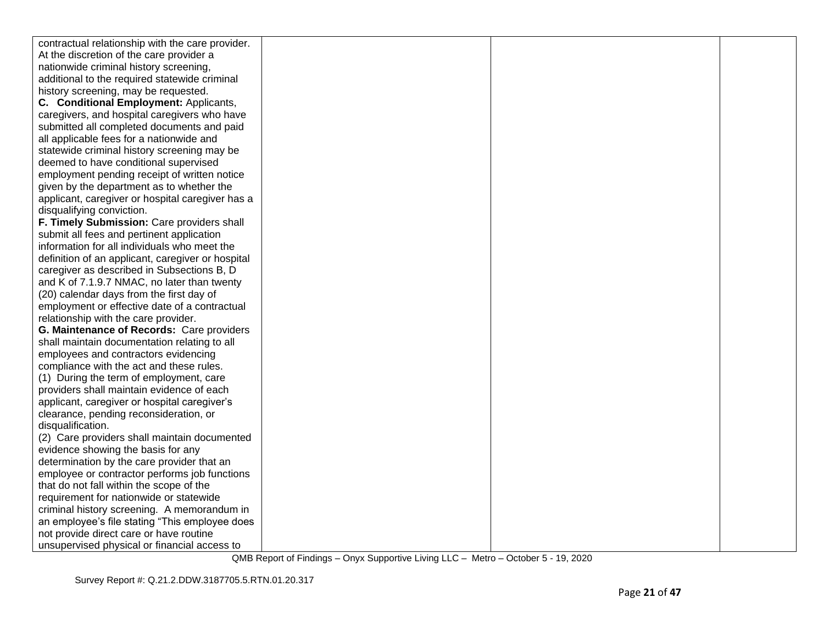| contractual relationship with the care provider.  |  |  |
|---------------------------------------------------|--|--|
| At the discretion of the care provider a          |  |  |
| nationwide criminal history screening,            |  |  |
| additional to the required statewide criminal     |  |  |
| history screening, may be requested.              |  |  |
| C. Conditional Employment: Applicants,            |  |  |
| caregivers, and hospital caregivers who have      |  |  |
| submitted all completed documents and paid        |  |  |
| all applicable fees for a nationwide and          |  |  |
| statewide criminal history screening may be       |  |  |
| deemed to have conditional supervised             |  |  |
| employment pending receipt of written notice      |  |  |
| given by the department as to whether the         |  |  |
| applicant, caregiver or hospital caregiver has a  |  |  |
| disqualifying conviction.                         |  |  |
| F. Timely Submission: Care providers shall        |  |  |
| submit all fees and pertinent application         |  |  |
| information for all individuals who meet the      |  |  |
| definition of an applicant, caregiver or hospital |  |  |
| caregiver as described in Subsections B, D        |  |  |
| and K of 7.1.9.7 NMAC, no later than twenty       |  |  |
| (20) calendar days from the first day of          |  |  |
| employment or effective date of a contractual     |  |  |
| relationship with the care provider.              |  |  |
| G. Maintenance of Records: Care providers         |  |  |
| shall maintain documentation relating to all      |  |  |
| employees and contractors evidencing              |  |  |
| compliance with the act and these rules.          |  |  |
| (1) During the term of employment, care           |  |  |
| providers shall maintain evidence of each         |  |  |
| applicant, caregiver or hospital caregiver's      |  |  |
| clearance, pending reconsideration, or            |  |  |
| disqualification.                                 |  |  |
| (2) Care providers shall maintain documented      |  |  |
| evidence showing the basis for any                |  |  |
| determination by the care provider that an        |  |  |
| employee or contractor performs job functions     |  |  |
| that do not fall within the scope of the          |  |  |
| requirement for nationwide or statewide           |  |  |
| criminal history screening. A memorandum in       |  |  |
| an employee's file stating "This employee does    |  |  |
| not provide direct care or have routine           |  |  |
| unsupervised physical or financial access to      |  |  |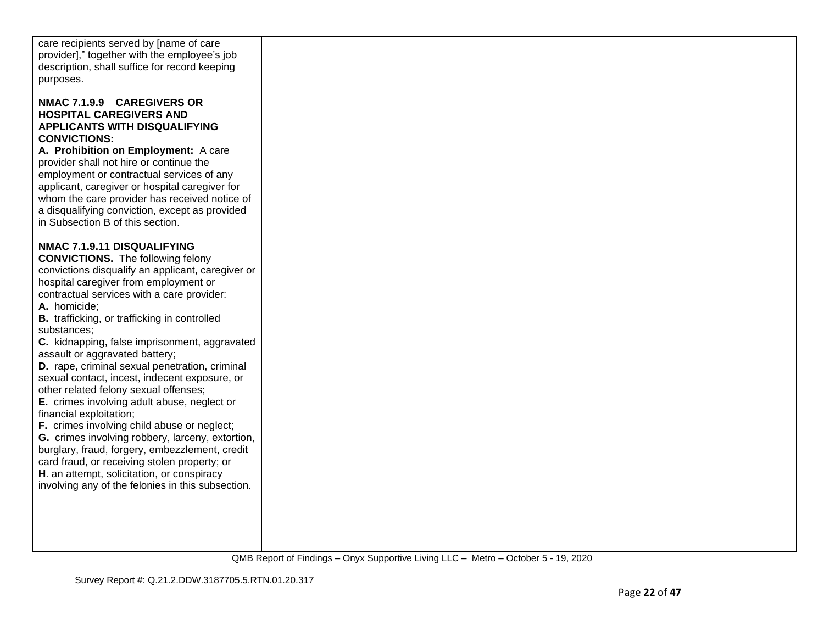| care recipients served by [name of care<br>provider]," together with the employee's job<br>description, shall suffice for record keeping<br>purposes.<br>NMAC 7.1.9.9 CAREGIVERS OR<br><b>HOSPITAL CAREGIVERS AND</b><br><b>APPLICANTS WITH DISQUALIFYING</b><br><b>CONVICTIONS:</b>                                                                                                                                                                                                                                                                                                                                                                                                                                                                                                                                                                                                                                |  |  |
|---------------------------------------------------------------------------------------------------------------------------------------------------------------------------------------------------------------------------------------------------------------------------------------------------------------------------------------------------------------------------------------------------------------------------------------------------------------------------------------------------------------------------------------------------------------------------------------------------------------------------------------------------------------------------------------------------------------------------------------------------------------------------------------------------------------------------------------------------------------------------------------------------------------------|--|--|
| A. Prohibition on Employment: A care<br>provider shall not hire or continue the<br>employment or contractual services of any<br>applicant, caregiver or hospital caregiver for<br>whom the care provider has received notice of<br>a disqualifying conviction, except as provided<br>in Subsection B of this section.                                                                                                                                                                                                                                                                                                                                                                                                                                                                                                                                                                                               |  |  |
| NMAC 7.1.9.11 DISQUALIFYING<br><b>CONVICTIONS.</b> The following felony<br>convictions disqualify an applicant, caregiver or<br>hospital caregiver from employment or<br>contractual services with a care provider:<br>A. homicide;<br>B. trafficking, or trafficking in controlled<br>substances:<br>C. kidnapping, false imprisonment, aggravated<br>assault or aggravated battery;<br>D. rape, criminal sexual penetration, criminal<br>sexual contact, incest, indecent exposure, or<br>other related felony sexual offenses;<br>E. crimes involving adult abuse, neglect or<br>financial exploitation;<br>F. crimes involving child abuse or neglect;<br>G. crimes involving robbery, larceny, extortion,<br>burglary, fraud, forgery, embezzlement, credit<br>card fraud, or receiving stolen property; or<br>H. an attempt, solicitation, or conspiracy<br>involving any of the felonies in this subsection. |  |  |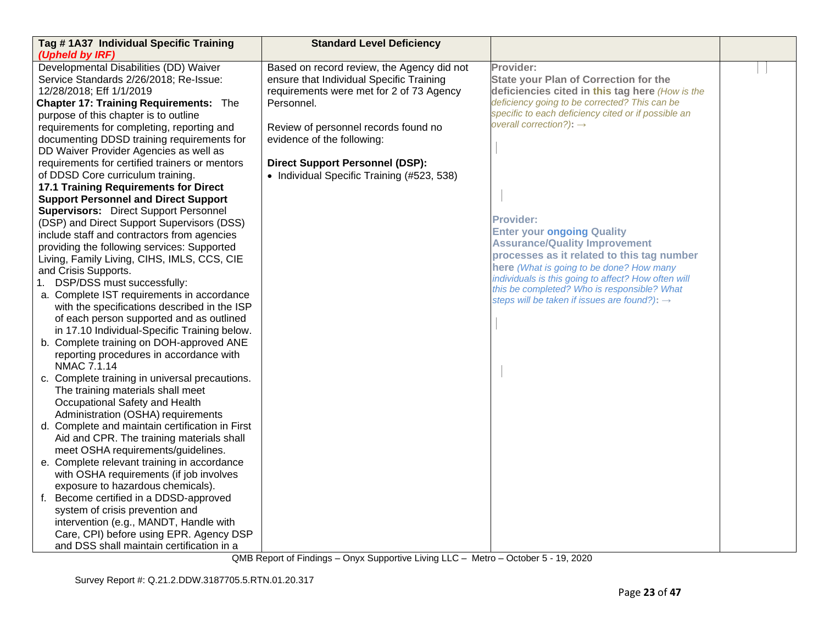| Tag # 1A37 Individual Specific Training         | <b>Standard Level Deficiency</b>           |                                                                                                 |  |
|-------------------------------------------------|--------------------------------------------|-------------------------------------------------------------------------------------------------|--|
| (Upheld by IRF)                                 |                                            |                                                                                                 |  |
| Developmental Disabilities (DD) Waiver          | Based on record review, the Agency did not | Provider:                                                                                       |  |
| Service Standards 2/26/2018; Re-Issue:          | ensure that Individual Specific Training   | <b>State your Plan of Correction for the</b>                                                    |  |
| 12/28/2018; Eff 1/1/2019                        | requirements were met for 2 of 73 Agency   | deficiencies cited in this tag here (How is the                                                 |  |
| <b>Chapter 17: Training Requirements: The</b>   | Personnel.                                 | deficiency going to be corrected? This can be                                                   |  |
| purpose of this chapter is to outline           |                                            | specific to each deficiency cited or if possible an                                             |  |
| requirements for completing, reporting and      | Review of personnel records found no       | overall correction?): $\rightarrow$                                                             |  |
| documenting DDSD training requirements for      | evidence of the following:                 |                                                                                                 |  |
| DD Waiver Provider Agencies as well as          |                                            |                                                                                                 |  |
| requirements for certified trainers or mentors  | <b>Direct Support Personnel (DSP):</b>     |                                                                                                 |  |
| of DDSD Core curriculum training.               | • Individual Specific Training (#523, 538) |                                                                                                 |  |
| <b>17.1 Training Requirements for Direct</b>    |                                            |                                                                                                 |  |
| <b>Support Personnel and Direct Support</b>     |                                            |                                                                                                 |  |
| <b>Supervisors:</b> Direct Support Personnel    |                                            |                                                                                                 |  |
| (DSP) and Direct Support Supervisors (DSS)      |                                            | <b>Provider:</b>                                                                                |  |
| include staff and contractors from agencies     |                                            | <b>Enter your ongoing Quality</b>                                                               |  |
| providing the following services: Supported     |                                            | <b>Assurance/Quality Improvement</b>                                                            |  |
| Living, Family Living, CIHS, IMLS, CCS, CIE     |                                            | processes as it related to this tag number                                                      |  |
| and Crisis Supports.                            |                                            | here (What is going to be done? How many<br>individuals is this going to affect? How often will |  |
| 1. DSP/DSS must successfully:                   |                                            | this be completed? Who is responsible? What                                                     |  |
| a. Complete IST requirements in accordance      |                                            | steps will be taken if issues are found?): $\rightarrow$                                        |  |
| with the specifications described in the ISP    |                                            |                                                                                                 |  |
| of each person supported and as outlined        |                                            |                                                                                                 |  |
| in 17.10 Individual-Specific Training below.    |                                            |                                                                                                 |  |
| b. Complete training on DOH-approved ANE        |                                            |                                                                                                 |  |
| reporting procedures in accordance with         |                                            |                                                                                                 |  |
| NMAC 7.1.14                                     |                                            |                                                                                                 |  |
| c. Complete training in universal precautions.  |                                            |                                                                                                 |  |
| The training materials shall meet               |                                            |                                                                                                 |  |
| Occupational Safety and Health                  |                                            |                                                                                                 |  |
| Administration (OSHA) requirements              |                                            |                                                                                                 |  |
| d. Complete and maintain certification in First |                                            |                                                                                                 |  |
| Aid and CPR. The training materials shall       |                                            |                                                                                                 |  |
| meet OSHA requirements/guidelines.              |                                            |                                                                                                 |  |
| e. Complete relevant training in accordance     |                                            |                                                                                                 |  |
| with OSHA requirements (if job involves         |                                            |                                                                                                 |  |
| exposure to hazardous chemicals).               |                                            |                                                                                                 |  |
| f. Become certified in a DDSD-approved          |                                            |                                                                                                 |  |
| system of crisis prevention and                 |                                            |                                                                                                 |  |
| intervention (e.g., MANDT, Handle with          |                                            |                                                                                                 |  |
| Care, CPI) before using EPR. Agency DSP         |                                            |                                                                                                 |  |
| and DSS shall maintain certification in a       |                                            |                                                                                                 |  |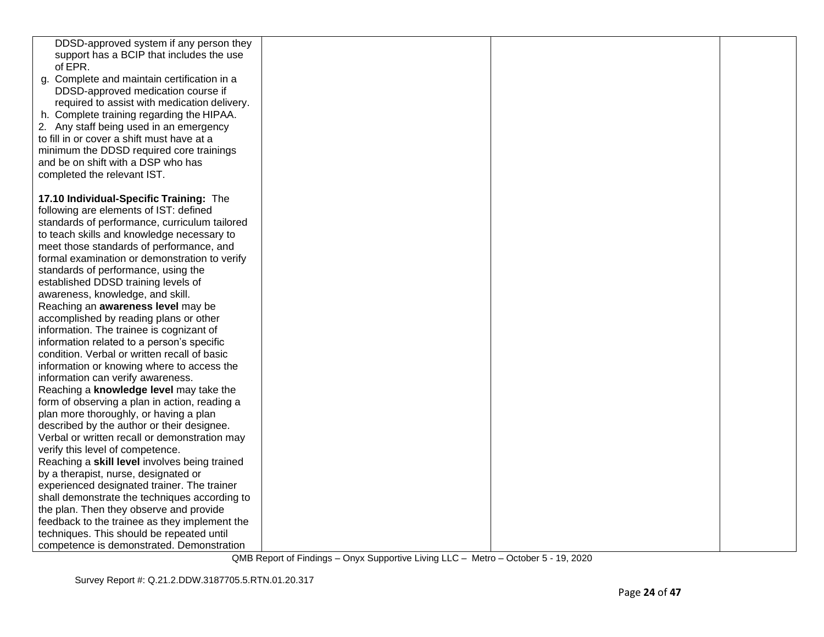| DDSD-approved system if any person they                                                    |  |  |
|--------------------------------------------------------------------------------------------|--|--|
| support has a BCIP that includes the use                                                   |  |  |
| of EPR.                                                                                    |  |  |
| g. Complete and maintain certification in a                                                |  |  |
| DDSD-approved medication course if                                                         |  |  |
| required to assist with medication delivery.                                               |  |  |
| h. Complete training regarding the HIPAA.                                                  |  |  |
| 2. Any staff being used in an emergency                                                    |  |  |
| to fill in or cover a shift must have at a                                                 |  |  |
| minimum the DDSD required core trainings                                                   |  |  |
| and be on shift with a DSP who has                                                         |  |  |
| completed the relevant IST.                                                                |  |  |
|                                                                                            |  |  |
| 17.10 Individual-Specific Training: The                                                    |  |  |
| following are elements of IST: defined                                                     |  |  |
| standards of performance, curriculum tailored                                              |  |  |
| to teach skills and knowledge necessary to                                                 |  |  |
| meet those standards of performance, and                                                   |  |  |
| formal examination or demonstration to verify                                              |  |  |
| standards of performance, using the                                                        |  |  |
| established DDSD training levels of                                                        |  |  |
| awareness, knowledge, and skill.                                                           |  |  |
| Reaching an awareness level may be                                                         |  |  |
| accomplished by reading plans or other                                                     |  |  |
| information. The trainee is cognizant of                                                   |  |  |
| information related to a person's specific<br>condition. Verbal or written recall of basic |  |  |
|                                                                                            |  |  |
| information or knowing where to access the<br>information can verify awareness.            |  |  |
| Reaching a knowledge level may take the                                                    |  |  |
| form of observing a plan in action, reading a                                              |  |  |
| plan more thoroughly, or having a plan                                                     |  |  |
| described by the author or their designee.                                                 |  |  |
| Verbal or written recall or demonstration may                                              |  |  |
| verify this level of competence.                                                           |  |  |
| Reaching a skill level involves being trained                                              |  |  |
| by a therapist, nurse, designated or                                                       |  |  |
| experienced designated trainer. The trainer                                                |  |  |
| shall demonstrate the techniques according to                                              |  |  |
| the plan. Then they observe and provide                                                    |  |  |
| feedback to the trainee as they implement the                                              |  |  |
| techniques. This should be repeated until                                                  |  |  |
| competence is demonstrated. Demonstration                                                  |  |  |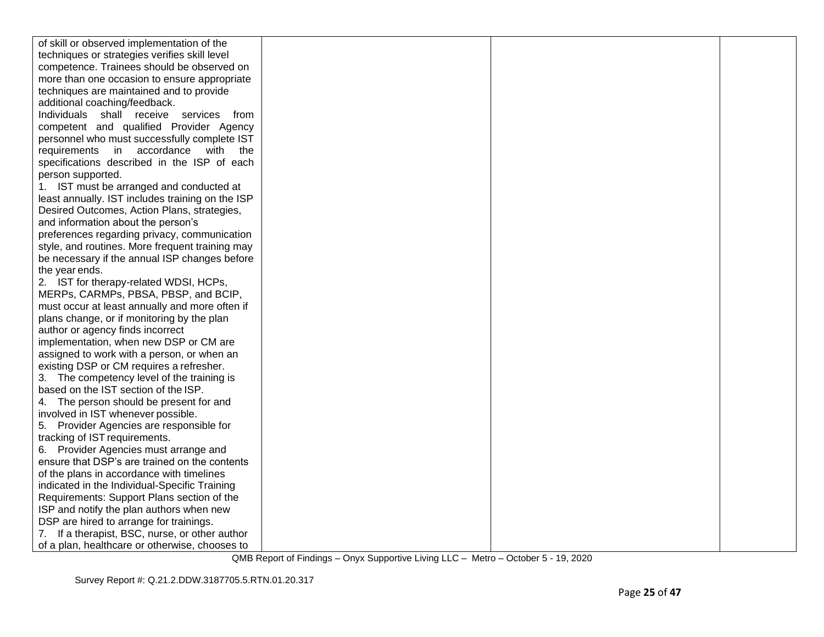| of skill or observed implementation of the       |  |  |
|--------------------------------------------------|--|--|
| techniques or strategies verifies skill level    |  |  |
| competence. Trainees should be observed on       |  |  |
| more than one occasion to ensure appropriate     |  |  |
| techniques are maintained and to provide         |  |  |
| additional coaching/feedback.                    |  |  |
| Individuals shall receive services from          |  |  |
| competent and qualified Provider Agency          |  |  |
| personnel who must successfully complete IST     |  |  |
| requirements in accordance with the              |  |  |
| specifications described in the ISP of each      |  |  |
| person supported.                                |  |  |
| 1. IST must be arranged and conducted at         |  |  |
| least annually. IST includes training on the ISP |  |  |
| Desired Outcomes, Action Plans, strategies,      |  |  |
| and information about the person's               |  |  |
| preferences regarding privacy, communication     |  |  |
| style, and routines. More frequent training may  |  |  |
| be necessary if the annual ISP changes before    |  |  |
| the year ends.                                   |  |  |
| 2. IST for therapy-related WDSI, HCPs,           |  |  |
| MERPs, CARMPs, PBSA, PBSP, and BCIP,             |  |  |
| must occur at least annually and more often if   |  |  |
| plans change, or if monitoring by the plan       |  |  |
| author or agency finds incorrect                 |  |  |
| implementation, when new DSP or CM are           |  |  |
| assigned to work with a person, or when an       |  |  |
| existing DSP or CM requires a refresher.         |  |  |
| 3. The competency level of the training is       |  |  |
| based on the IST section of the ISP.             |  |  |
| 4. The person should be present for and          |  |  |
| involved in IST whenever possible.               |  |  |
| 5. Provider Agencies are responsible for         |  |  |
| tracking of IST requirements.                    |  |  |
| 6. Provider Agencies must arrange and            |  |  |
| ensure that DSP's are trained on the contents    |  |  |
| of the plans in accordance with timelines        |  |  |
| indicated in the Individual-Specific Training    |  |  |
| Requirements: Support Plans section of the       |  |  |
| ISP and notify the plan authors when new         |  |  |
| DSP are hired to arrange for trainings.          |  |  |
| 7. If a therapist, BSC, nurse, or other author   |  |  |
| of a plan, healthcare or otherwise, chooses to   |  |  |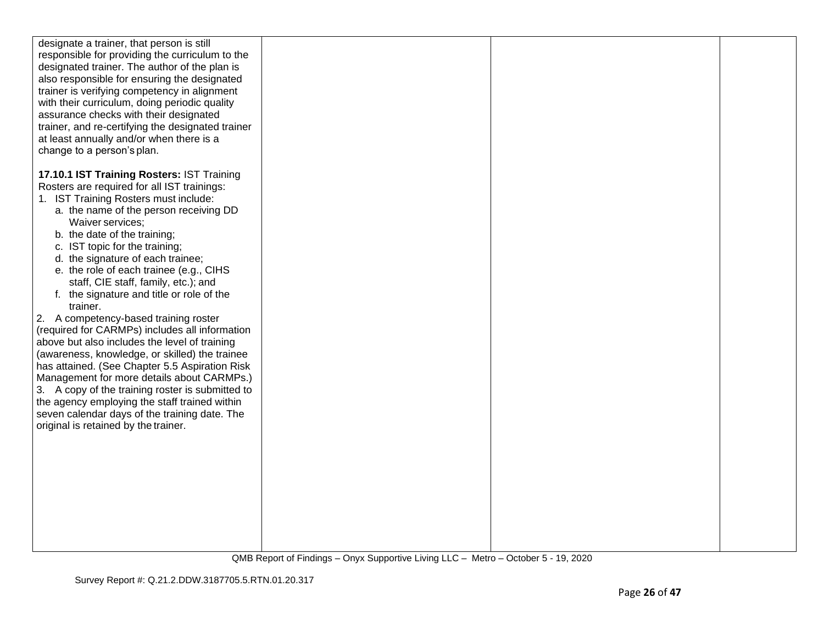| designate a trainer, that person is still<br>responsible for providing the curriculum to the<br>designated trainer. The author of the plan is<br>also responsible for ensuring the designated<br>trainer is verifying competency in alignment<br>with their curriculum, doing periodic quality<br>assurance checks with their designated<br>trainer, and re-certifying the designated trainer<br>at least annually and/or when there is a<br>change to a person's plan.                                                                                                                                                                                                                                                                                                                                                                                                                                                                         |  |  |
|-------------------------------------------------------------------------------------------------------------------------------------------------------------------------------------------------------------------------------------------------------------------------------------------------------------------------------------------------------------------------------------------------------------------------------------------------------------------------------------------------------------------------------------------------------------------------------------------------------------------------------------------------------------------------------------------------------------------------------------------------------------------------------------------------------------------------------------------------------------------------------------------------------------------------------------------------|--|--|
| 17.10.1 IST Training Rosters: IST Training<br>Rosters are required for all IST trainings:<br>1. IST Training Rosters must include:<br>a. the name of the person receiving DD<br>Waiver services;<br>b. the date of the training;<br>c. IST topic for the training;<br>d. the signature of each trainee;<br>e. the role of each trainee (e.g., CIHS<br>staff, CIE staff, family, etc.); and<br>f. the signature and title or role of the<br>trainer.<br>2. A competency-based training roster<br>(required for CARMPs) includes all information<br>above but also includes the level of training<br>(awareness, knowledge, or skilled) the trainee<br>has attained. (See Chapter 5.5 Aspiration Risk<br>Management for more details about CARMPs.)<br>3. A copy of the training roster is submitted to<br>the agency employing the staff trained within<br>seven calendar days of the training date. The<br>original is retained by the trainer. |  |  |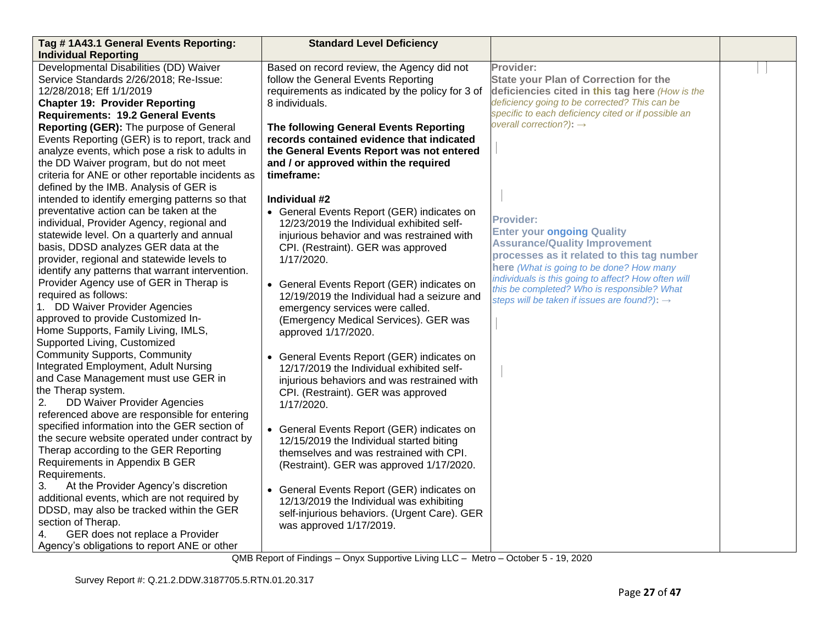| Tag # 1A43.1 General Events Reporting:<br><b>Individual Reporting</b>                                                                                                                                                                                                                                                          | <b>Standard Level Deficiency</b>                                                                                                                                                                           |                                                                                                                                                                                                                      |  |
|--------------------------------------------------------------------------------------------------------------------------------------------------------------------------------------------------------------------------------------------------------------------------------------------------------------------------------|------------------------------------------------------------------------------------------------------------------------------------------------------------------------------------------------------------|----------------------------------------------------------------------------------------------------------------------------------------------------------------------------------------------------------------------|--|
| Developmental Disabilities (DD) Waiver<br>Service Standards 2/26/2018; Re-Issue:<br>12/28/2018; Eff 1/1/2019<br><b>Chapter 19: Provider Reporting</b><br><b>Requirements: 19.2 General Events</b>                                                                                                                              | Based on record review, the Agency did not<br>follow the General Events Reporting<br>requirements as indicated by the policy for 3 of<br>8 individuals.                                                    | Provider:<br><b>State your Plan of Correction for the</b><br>deficiencies cited in this tag here (How is the<br>deficiency going to be corrected? This can be<br>specific to each deficiency cited or if possible an |  |
| Reporting (GER): The purpose of General<br>Events Reporting (GER) is to report, track and<br>analyze events, which pose a risk to adults in<br>the DD Waiver program, but do not meet<br>criteria for ANE or other reportable incidents as<br>defined by the IMB. Analysis of GER is                                           | The following General Events Reporting<br>records contained evidence that indicated<br>the General Events Report was not entered<br>and / or approved within the required<br>timeframe:                    | overall correction?): $\rightarrow$                                                                                                                                                                                  |  |
| intended to identify emerging patterns so that<br>preventative action can be taken at the<br>individual, Provider Agency, regional and<br>statewide level. On a quarterly and annual<br>basis, DDSD analyzes GER data at the<br>provider, regional and statewide levels to<br>identify any patterns that warrant intervention. | Individual #2<br>• General Events Report (GER) indicates on<br>12/23/2019 the Individual exhibited self-<br>injurious behavior and was restrained with<br>CPI. (Restraint). GER was approved<br>1/17/2020. | <b>Provider:</b><br><b>Enter your ongoing Quality</b><br><b>Assurance/Quality Improvement</b><br>processes as it related to this tag number<br>here (What is going to be done? How many                              |  |
| Provider Agency use of GER in Therap is<br>required as follows:<br>1. DD Waiver Provider Agencies<br>approved to provide Customized In-<br>Home Supports, Family Living, IMLS,<br>Supported Living, Customized                                                                                                                 | • General Events Report (GER) indicates on<br>12/19/2019 the Individual had a seizure and<br>emergency services were called.<br>(Emergency Medical Services). GER was<br>approved 1/17/2020.               | individuals is this going to affect? How often will<br>this be completed? Who is responsible? What<br>steps will be taken if issues are found?): $\rightarrow$                                                       |  |
| <b>Community Supports, Community</b><br>Integrated Employment, Adult Nursing<br>and Case Management must use GER in<br>the Therap system.<br>2.<br>DD Waiver Provider Agencies<br>referenced above are responsible for entering                                                                                                | • General Events Report (GER) indicates on<br>12/17/2019 the Individual exhibited self-<br>injurious behaviors and was restrained with<br>CPI. (Restraint). GER was approved<br>1/17/2020.                 |                                                                                                                                                                                                                      |  |
| specified information into the GER section of<br>the secure website operated under contract by<br>Therap according to the GER Reporting<br>Requirements in Appendix B GER<br>Requirements.                                                                                                                                     | • General Events Report (GER) indicates on<br>12/15/2019 the Individual started biting<br>themselves and was restrained with CPI.<br>(Restraint). GER was approved 1/17/2020.                              |                                                                                                                                                                                                                      |  |
| 3.<br>At the Provider Agency's discretion<br>additional events, which are not required by<br>DDSD, may also be tracked within the GER<br>section of Therap.<br>GER does not replace a Provider<br>4.<br>Agency's obligations to report ANE or other                                                                            | • General Events Report (GER) indicates on<br>12/13/2019 the Individual was exhibiting<br>self-injurious behaviors. (Urgent Care). GER<br>was approved 1/17/2019.                                          |                                                                                                                                                                                                                      |  |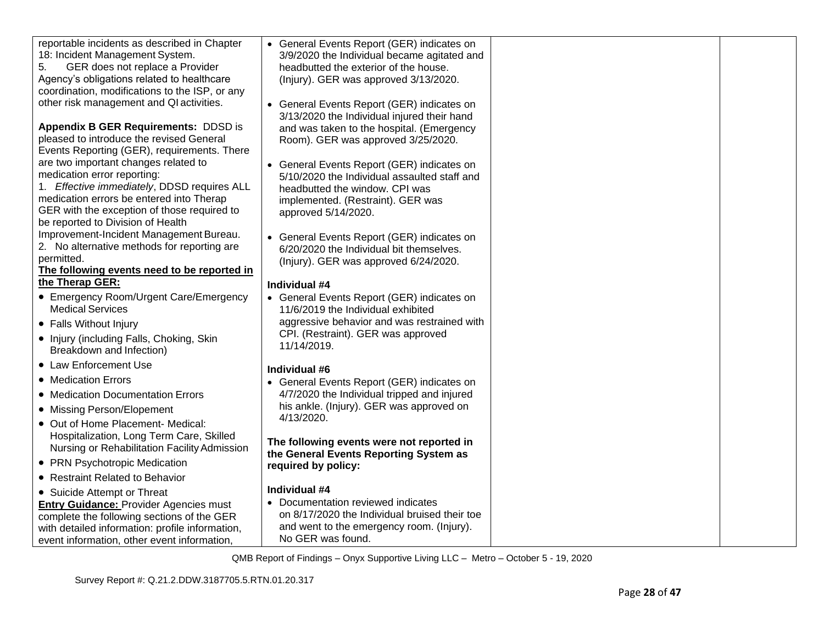| reportable incidents as described in Chapter                                            | • General Events Report (GER) indicates on                                                 |  |
|-----------------------------------------------------------------------------------------|--------------------------------------------------------------------------------------------|--|
| 18: Incident Management System.                                                         | 3/9/2020 the Individual became agitated and                                                |  |
| GER does not replace a Provider<br>5.                                                   | headbutted the exterior of the house.                                                      |  |
| Agency's obligations related to healthcare                                              | (Injury). GER was approved 3/13/2020.                                                      |  |
| coordination, modifications to the ISP, or any                                          |                                                                                            |  |
| other risk management and QI activities.                                                | • General Events Report (GER) indicates on                                                 |  |
|                                                                                         | 3/13/2020 the Individual injured their hand                                                |  |
| <b>Appendix B GER Requirements: DDSD is</b>                                             | and was taken to the hospital. (Emergency                                                  |  |
| pleased to introduce the revised General<br>Events Reporting (GER), requirements. There | Room). GER was approved 3/25/2020.                                                         |  |
| are two important changes related to                                                    |                                                                                            |  |
| medication error reporting:                                                             | • General Events Report (GER) indicates on<br>5/10/2020 the Individual assaulted staff and |  |
| 1. Effective immediately, DDSD requires ALL                                             | headbutted the window. CPI was                                                             |  |
| medication errors be entered into Therap                                                | implemented. (Restraint). GER was                                                          |  |
| GER with the exception of those required to                                             | approved 5/14/2020.                                                                        |  |
| be reported to Division of Health                                                       |                                                                                            |  |
| Improvement-Incident Management Bureau.                                                 | • General Events Report (GER) indicates on                                                 |  |
| 2. No alternative methods for reporting are                                             | 6/20/2020 the Individual bit themselves.                                                   |  |
| permitted.                                                                              | (Injury). GER was approved 6/24/2020.                                                      |  |
| The following events need to be reported in                                             |                                                                                            |  |
| the Therap GER:                                                                         | Individual #4                                                                              |  |
| • Emergency Room/Urgent Care/Emergency                                                  | • General Events Report (GER) indicates on                                                 |  |
| <b>Medical Services</b>                                                                 | 11/6/2019 the Individual exhibited                                                         |  |
| • Falls Without Injury                                                                  | aggressive behavior and was restrained with                                                |  |
| • Injury (including Falls, Choking, Skin                                                | CPI. (Restraint). GER was approved                                                         |  |
| Breakdown and Infection)                                                                | 11/14/2019.                                                                                |  |
| • Law Enforcement Use                                                                   | Individual #6                                                                              |  |
| • Medication Errors                                                                     | • General Events Report (GER) indicates on                                                 |  |
| • Medication Documentation Errors                                                       | 4/7/2020 the Individual tripped and injured                                                |  |
| • Missing Person/Elopement                                                              | his ankle. (Injury). GER was approved on                                                   |  |
| • Out of Home Placement- Medical:                                                       | 4/13/2020.                                                                                 |  |
| Hospitalization, Long Term Care, Skilled                                                |                                                                                            |  |
| Nursing or Rehabilitation Facility Admission                                            | The following events were not reported in<br>the General Events Reporting System as        |  |
| • PRN Psychotropic Medication                                                           | required by policy:                                                                        |  |
| • Restraint Related to Behavior                                                         |                                                                                            |  |
| • Suicide Attempt or Threat                                                             | Individual #4                                                                              |  |
| <b>Entry Guidance: Provider Agencies must</b>                                           | • Documentation reviewed indicates                                                         |  |
| complete the following sections of the GER                                              | on 8/17/2020 the Individual bruised their toe                                              |  |
| with detailed information: profile information,                                         | and went to the emergency room. (Injury).                                                  |  |
| event information, other event information,                                             | No GER was found.                                                                          |  |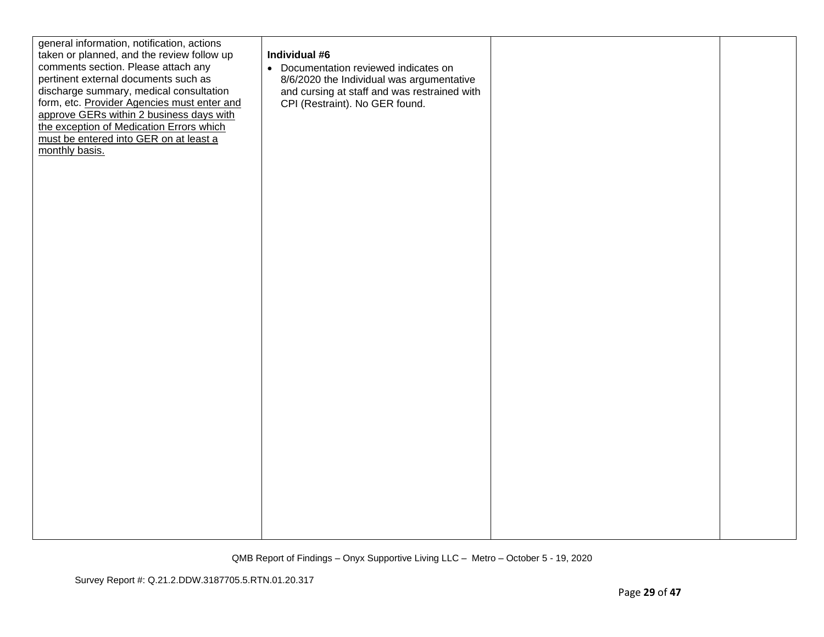| general information, notification, actions<br>taken or planned, and the review follow up<br>comments section. Please attach any<br>pertinent external documents such as<br>discharge summary, medical consultation<br>form, etc. Provider Agencies must enter and<br>approve GERs within 2 business days with<br>the exception of Medication Errors which<br>must be entered into GER on at least a<br>monthly basis. | Individual #6<br>• Documentation reviewed indicates on<br>8/6/2020 the Individual was argumentative<br>and cursing at staff and was restrained with<br>CPI (Restraint). No GER found. |  |
|-----------------------------------------------------------------------------------------------------------------------------------------------------------------------------------------------------------------------------------------------------------------------------------------------------------------------------------------------------------------------------------------------------------------------|---------------------------------------------------------------------------------------------------------------------------------------------------------------------------------------|--|
|                                                                                                                                                                                                                                                                                                                                                                                                                       |                                                                                                                                                                                       |  |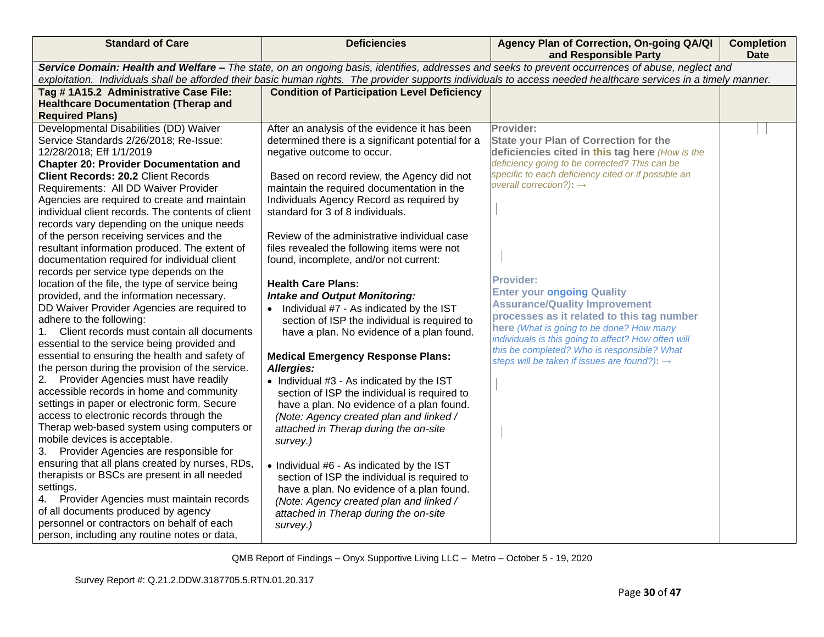| <b>Standard of Care</b>                                                                                                                                          | <b>Deficiencies</b>                                | Agency Plan of Correction, On-going QA/QI<br>and Responsible Party                                                                                | <b>Completion</b><br>Date |
|------------------------------------------------------------------------------------------------------------------------------------------------------------------|----------------------------------------------------|---------------------------------------------------------------------------------------------------------------------------------------------------|---------------------------|
|                                                                                                                                                                  |                                                    | Service Domain: Health and Welfare - The state, on an ongoing basis, identifies, addresses and seeks to prevent occurrences of abuse, neglect and |                           |
| exploitation. Individuals shall be afforded their basic human rights. The provider supports individuals to access needed healthcare services in a timely manner. |                                                    |                                                                                                                                                   |                           |
| Tag # 1A15.2 Administrative Case File:                                                                                                                           | <b>Condition of Participation Level Deficiency</b> |                                                                                                                                                   |                           |
| <b>Healthcare Documentation (Therap and</b>                                                                                                                      |                                                    |                                                                                                                                                   |                           |
| <b>Required Plans)</b>                                                                                                                                           |                                                    |                                                                                                                                                   |                           |
| Developmental Disabilities (DD) Waiver                                                                                                                           | After an analysis of the evidence it has been      | Provider:                                                                                                                                         |                           |
| Service Standards 2/26/2018; Re-Issue:                                                                                                                           | determined there is a significant potential for a  | <b>State your Plan of Correction for the</b>                                                                                                      |                           |
| 12/28/2018; Eff 1/1/2019                                                                                                                                         | negative outcome to occur.                         | deficiencies cited in this tag here (How is the                                                                                                   |                           |
| <b>Chapter 20: Provider Documentation and</b>                                                                                                                    |                                                    | deficiency going to be corrected? This can be                                                                                                     |                           |
| <b>Client Records: 20.2 Client Records</b>                                                                                                                       | Based on record review, the Agency did not         | specific to each deficiency cited or if possible an                                                                                               |                           |
| Requirements: All DD Waiver Provider                                                                                                                             | maintain the required documentation in the         | overall correction?): $\rightarrow$                                                                                                               |                           |
| Agencies are required to create and maintain                                                                                                                     | Individuals Agency Record as required by           |                                                                                                                                                   |                           |
| individual client records. The contents of client                                                                                                                | standard for 3 of 8 individuals.                   |                                                                                                                                                   |                           |
| records vary depending on the unique needs                                                                                                                       |                                                    |                                                                                                                                                   |                           |
| of the person receiving services and the                                                                                                                         | Review of the administrative individual case       |                                                                                                                                                   |                           |
| resultant information produced. The extent of                                                                                                                    | files revealed the following items were not        |                                                                                                                                                   |                           |
| documentation required for individual client                                                                                                                     | found, incomplete, and/or not current:             |                                                                                                                                                   |                           |
| records per service type depends on the                                                                                                                          |                                                    | <b>Provider:</b>                                                                                                                                  |                           |
| location of the file, the type of service being                                                                                                                  | <b>Health Care Plans:</b>                          | <b>Enter your ongoing Quality</b>                                                                                                                 |                           |
| provided, and the information necessary.                                                                                                                         | <b>Intake and Output Monitoring:</b>               | <b>Assurance/Quality Improvement</b>                                                                                                              |                           |
| DD Waiver Provider Agencies are required to<br>adhere to the following:                                                                                          | • Individual #7 - As indicated by the IST          | processes as it related to this tag number                                                                                                        |                           |
| 1. Client records must contain all documents                                                                                                                     | section of ISP the individual is required to       | here (What is going to be done? How many                                                                                                          |                           |
| essential to the service being provided and                                                                                                                      | have a plan. No evidence of a plan found.          | individuals is this going to affect? How often will                                                                                               |                           |
| essential to ensuring the health and safety of                                                                                                                   | <b>Medical Emergency Response Plans:</b>           | this be completed? Who is responsible? What                                                                                                       |                           |
| the person during the provision of the service.                                                                                                                  | Allergies:                                         | steps will be taken if issues are found?): $\rightarrow$                                                                                          |                           |
| Provider Agencies must have readily<br>2.                                                                                                                        | • Individual #3 - As indicated by the IST          |                                                                                                                                                   |                           |
| accessible records in home and community                                                                                                                         | section of ISP the individual is required to       |                                                                                                                                                   |                           |
| settings in paper or electronic form. Secure                                                                                                                     | have a plan. No evidence of a plan found.          |                                                                                                                                                   |                           |
| access to electronic records through the                                                                                                                         | (Note: Agency created plan and linked /            |                                                                                                                                                   |                           |
| Therap web-based system using computers or                                                                                                                       | attached in Therap during the on-site              |                                                                                                                                                   |                           |
| mobile devices is acceptable.                                                                                                                                    | survey.)                                           |                                                                                                                                                   |                           |
| Provider Agencies are responsible for<br>3.                                                                                                                      |                                                    |                                                                                                                                                   |                           |
| ensuring that all plans created by nurses, RDs,                                                                                                                  | • Individual #6 - As indicated by the IST          |                                                                                                                                                   |                           |
| therapists or BSCs are present in all needed                                                                                                                     | section of ISP the individual is required to       |                                                                                                                                                   |                           |
| settings.                                                                                                                                                        | have a plan. No evidence of a plan found.          |                                                                                                                                                   |                           |
| Provider Agencies must maintain records<br>4.                                                                                                                    | (Note: Agency created plan and linked /            |                                                                                                                                                   |                           |
| of all documents produced by agency                                                                                                                              | attached in Therap during the on-site              |                                                                                                                                                   |                           |
| personnel or contractors on behalf of each                                                                                                                       | survey.)                                           |                                                                                                                                                   |                           |
| person, including any routine notes or data,                                                                                                                     |                                                    |                                                                                                                                                   |                           |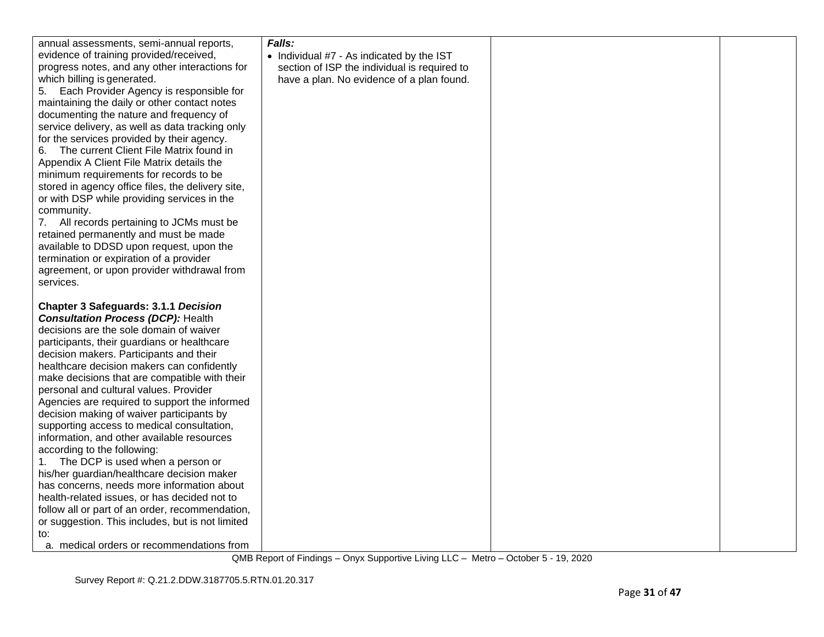| annual assessments, semi-annual reports,          | Falls:                                       |  |
|---------------------------------------------------|----------------------------------------------|--|
| evidence of training provided/received,           | • Individual #7 - As indicated by the IST    |  |
| progress notes, and any other interactions for    | section of ISP the individual is required to |  |
| which billing is generated.                       | have a plan. No evidence of a plan found.    |  |
| Each Provider Agency is responsible for<br>5.     |                                              |  |
| maintaining the daily or other contact notes      |                                              |  |
| documenting the nature and frequency of           |                                              |  |
| service delivery, as well as data tracking only   |                                              |  |
| for the services provided by their agency.        |                                              |  |
| The current Client File Matrix found in<br>6.     |                                              |  |
| Appendix A Client File Matrix details the         |                                              |  |
| minimum requirements for records to be            |                                              |  |
|                                                   |                                              |  |
| stored in agency office files, the delivery site, |                                              |  |
| or with DSP while providing services in the       |                                              |  |
| community.                                        |                                              |  |
| 7. All records pertaining to JCMs must be         |                                              |  |
| retained permanently and must be made             |                                              |  |
| available to DDSD upon request, upon the          |                                              |  |
| termination or expiration of a provider           |                                              |  |
| agreement, or upon provider withdrawal from       |                                              |  |
| services.                                         |                                              |  |
|                                                   |                                              |  |
| <b>Chapter 3 Safeguards: 3.1.1 Decision</b>       |                                              |  |
| <b>Consultation Process (DCP): Health</b>         |                                              |  |
| decisions are the sole domain of waiver           |                                              |  |
| participants, their guardians or healthcare       |                                              |  |
| decision makers. Participants and their           |                                              |  |
| healthcare decision makers can confidently        |                                              |  |
| make decisions that are compatible with their     |                                              |  |
| personal and cultural values. Provider            |                                              |  |
| Agencies are required to support the informed     |                                              |  |
| decision making of waiver participants by         |                                              |  |
| supporting access to medical consultation,        |                                              |  |
| information, and other available resources        |                                              |  |
|                                                   |                                              |  |
| according to the following:                       |                                              |  |
| The DCP is used when a person or<br>1.            |                                              |  |
| his/her guardian/healthcare decision maker        |                                              |  |
| has concerns, needs more information about        |                                              |  |
| health-related issues, or has decided not to      |                                              |  |
| follow all or part of an order, recommendation,   |                                              |  |
| or suggestion. This includes, but is not limited  |                                              |  |
| to:                                               |                                              |  |
| a. medical orders or recommendations from         |                                              |  |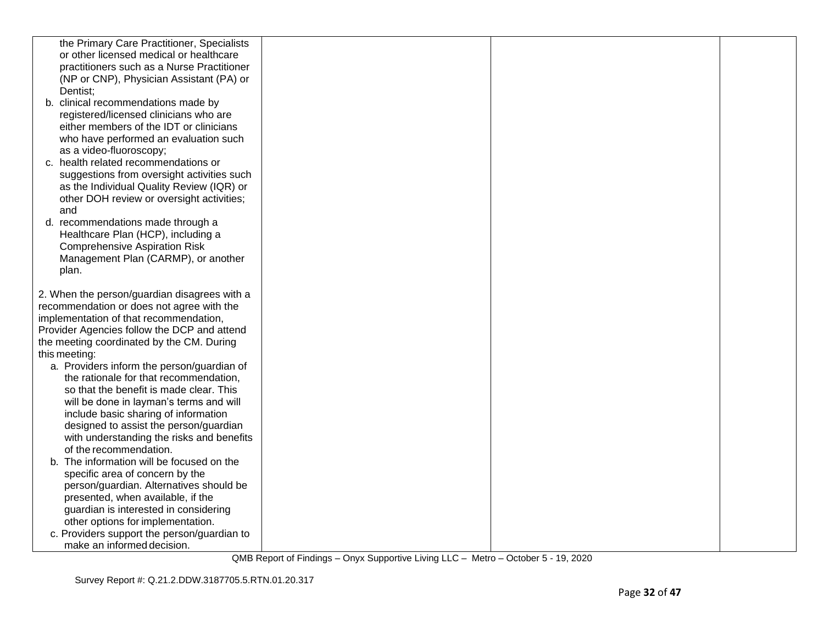| the Primary Care Practitioner, Specialists                                      |  |  |
|---------------------------------------------------------------------------------|--|--|
| or other licensed medical or healthcare                                         |  |  |
| practitioners such as a Nurse Practitioner                                      |  |  |
| (NP or CNP), Physician Assistant (PA) or                                        |  |  |
| Dentist:                                                                        |  |  |
| b. clinical recommendations made by                                             |  |  |
| registered/licensed clinicians who are                                          |  |  |
| either members of the IDT or clinicians                                         |  |  |
| who have performed an evaluation such                                           |  |  |
| as a video-fluoroscopy;                                                         |  |  |
| c. health related recommendations or                                            |  |  |
| suggestions from oversight activities such                                      |  |  |
| as the Individual Quality Review (IQR) or                                       |  |  |
| other DOH review or oversight activities;                                       |  |  |
| and                                                                             |  |  |
| d. recommendations made through a                                               |  |  |
| Healthcare Plan (HCP), including a                                              |  |  |
| <b>Comprehensive Aspiration Risk</b>                                            |  |  |
| Management Plan (CARMP), or another                                             |  |  |
| plan.                                                                           |  |  |
|                                                                                 |  |  |
| 2. When the person/guardian disagrees with a                                    |  |  |
| recommendation or does not agree with the                                       |  |  |
| implementation of that recommendation,                                          |  |  |
| Provider Agencies follow the DCP and attend                                     |  |  |
| the meeting coordinated by the CM. During                                       |  |  |
| this meeting:                                                                   |  |  |
| a. Providers inform the person/guardian of                                      |  |  |
| the rationale for that recommendation,                                          |  |  |
| so that the benefit is made clear. This                                         |  |  |
| will be done in layman's terms and will<br>include basic sharing of information |  |  |
| designed to assist the person/guardian                                          |  |  |
| with understanding the risks and benefits                                       |  |  |
| of the recommendation.                                                          |  |  |
| b. The information will be focused on the                                       |  |  |
| specific area of concern by the                                                 |  |  |
| person/guardian. Alternatives should be                                         |  |  |
| presented, when available, if the                                               |  |  |
| guardian is interested in considering                                           |  |  |
| other options for implementation.                                               |  |  |
| c. Providers support the person/guardian to                                     |  |  |
| make an informed decision.                                                      |  |  |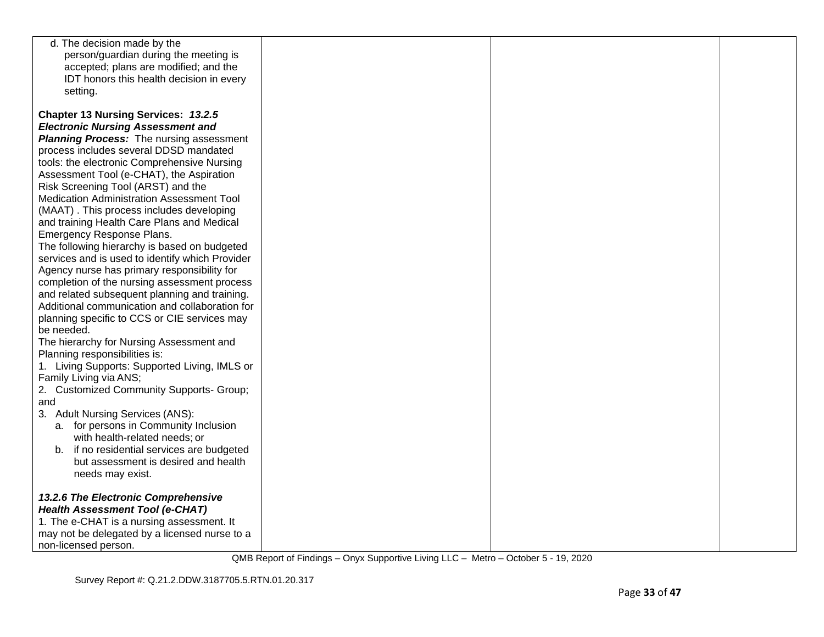| d. The decision made by the                     |  |  |
|-------------------------------------------------|--|--|
| person/guardian during the meeting is           |  |  |
| accepted; plans are modified; and the           |  |  |
| IDT honors this health decision in every        |  |  |
| setting.                                        |  |  |
|                                                 |  |  |
| Chapter 13 Nursing Services: 13.2.5             |  |  |
|                                                 |  |  |
| <b>Electronic Nursing Assessment and</b>        |  |  |
| <b>Planning Process:</b> The nursing assessment |  |  |
| process includes several DDSD mandated          |  |  |
| tools: the electronic Comprehensive Nursing     |  |  |
| Assessment Tool (e-CHAT), the Aspiration        |  |  |
| Risk Screening Tool (ARST) and the              |  |  |
| Medication Administration Assessment Tool       |  |  |
| (MAAT). This process includes developing        |  |  |
| and training Health Care Plans and Medical      |  |  |
| Emergency Response Plans.                       |  |  |
| The following hierarchy is based on budgeted    |  |  |
| services and is used to identify which Provider |  |  |
| Agency nurse has primary responsibility for     |  |  |
| completion of the nursing assessment process    |  |  |
| and related subsequent planning and training.   |  |  |
| Additional communication and collaboration for  |  |  |
| planning specific to CCS or CIE services may    |  |  |
| be needed.                                      |  |  |
| The hierarchy for Nursing Assessment and        |  |  |
| Planning responsibilities is:                   |  |  |
| 1. Living Supports: Supported Living, IMLS or   |  |  |
| Family Living via ANS;                          |  |  |
| 2. Customized Community Supports- Group;        |  |  |
| and                                             |  |  |
| 3. Adult Nursing Services (ANS):                |  |  |
| a. for persons in Community Inclusion           |  |  |
| with health-related needs; or                   |  |  |
| b. if no residential services are budgeted      |  |  |
| but assessment is desired and health            |  |  |
| needs may exist.                                |  |  |
|                                                 |  |  |
| 13.2.6 The Electronic Comprehensive             |  |  |
| <b>Health Assessment Tool (e-CHAT)</b>          |  |  |
| 1. The e-CHAT is a nursing assessment. It       |  |  |
| may not be delegated by a licensed nurse to a   |  |  |
| non-licensed person.                            |  |  |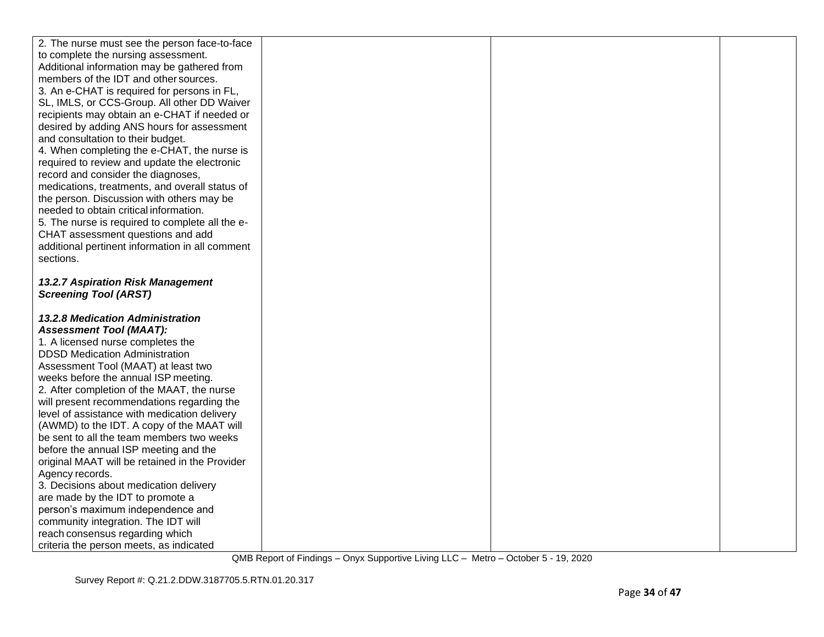| 2. The nurse must see the person face-to-face   |  |  |
|-------------------------------------------------|--|--|
| to complete the nursing assessment.             |  |  |
| Additional information may be gathered from     |  |  |
| members of the IDT and other sources.           |  |  |
| 3. An e-CHAT is required for persons in FL,     |  |  |
| SL, IMLS, or CCS-Group. All other DD Waiver     |  |  |
| recipients may obtain an e-CHAT if needed or    |  |  |
| desired by adding ANS hours for assessment      |  |  |
| and consultation to their budget.               |  |  |
| 4. When completing the e-CHAT, the nurse is     |  |  |
| required to review and update the electronic    |  |  |
| record and consider the diagnoses,              |  |  |
| medications, treatments, and overall status of  |  |  |
| the person. Discussion with others may be       |  |  |
| needed to obtain critical information.          |  |  |
| 5. The nurse is required to complete all the e- |  |  |
| CHAT assessment questions and add               |  |  |
| additional pertinent information in all comment |  |  |
| sections.                                       |  |  |
|                                                 |  |  |
| 13.2.7 Aspiration Risk Management               |  |  |
| <b>Screening Tool (ARST)</b>                    |  |  |
|                                                 |  |  |
| <b>13.2.8 Medication Administration</b>         |  |  |
| <b>Assessment Tool (MAAT):</b>                  |  |  |
| 1. A licensed nurse completes the               |  |  |
| <b>DDSD Medication Administration</b>           |  |  |
| Assessment Tool (MAAT) at least two             |  |  |
| weeks before the annual ISP meeting.            |  |  |
| 2. After completion of the MAAT, the nurse      |  |  |
| will present recommendations regarding the      |  |  |
| level of assistance with medication delivery    |  |  |
| (AWMD) to the IDT. A copy of the MAAT will      |  |  |
| be sent to all the team members two weeks       |  |  |
| before the annual ISP meeting and the           |  |  |
| original MAAT will be retained in the Provider  |  |  |
| Agency records.                                 |  |  |
| 3. Decisions about medication delivery          |  |  |
| are made by the IDT to promote a                |  |  |
| person's maximum independence and               |  |  |
| community integration. The IDT will             |  |  |
| reach consensus regarding which                 |  |  |
| criteria the person meets, as indicated         |  |  |
|                                                 |  |  |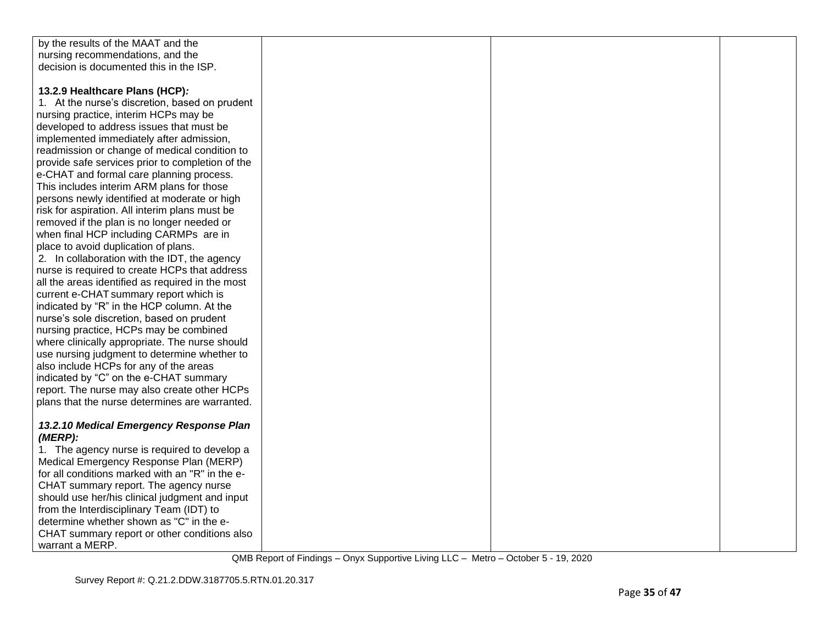| by the results of the MAAT and the               |  |  |
|--------------------------------------------------|--|--|
| nursing recommendations, and the                 |  |  |
| decision is documented this in the ISP.          |  |  |
|                                                  |  |  |
| 13.2.9 Healthcare Plans (HCP):                   |  |  |
| 1. At the nurse's discretion, based on prudent   |  |  |
| nursing practice, interim HCPs may be            |  |  |
| developed to address issues that must be         |  |  |
| implemented immediately after admission,         |  |  |
| readmission or change of medical condition to    |  |  |
| provide safe services prior to completion of the |  |  |
| e-CHAT and formal care planning process.         |  |  |
| This includes interim ARM plans for those        |  |  |
|                                                  |  |  |
| persons newly identified at moderate or high     |  |  |
| risk for aspiration. All interim plans must be   |  |  |
| removed if the plan is no longer needed or       |  |  |
| when final HCP including CARMPs are in           |  |  |
| place to avoid duplication of plans.             |  |  |
| 2. In collaboration with the IDT, the agency     |  |  |
| nurse is required to create HCPs that address    |  |  |
| all the areas identified as required in the most |  |  |
| current e-CHAT summary report which is           |  |  |
| indicated by "R" in the HCP column. At the       |  |  |
| nurse's sole discretion, based on prudent        |  |  |
| nursing practice, HCPs may be combined           |  |  |
| where clinically appropriate. The nurse should   |  |  |
| use nursing judgment to determine whether to     |  |  |
| also include HCPs for any of the areas           |  |  |
| indicated by "C" on the e-CHAT summary           |  |  |
| report. The nurse may also create other HCPs     |  |  |
| plans that the nurse determines are warranted.   |  |  |
|                                                  |  |  |
| 13.2.10 Medical Emergency Response Plan          |  |  |
| $(MERP)$ :                                       |  |  |
| 1. The agency nurse is required to develop a     |  |  |
| Medical Emergency Response Plan (MERP)           |  |  |
| for all conditions marked with an "R" in the e-  |  |  |
| CHAT summary report. The agency nurse            |  |  |
| should use her/his clinical judgment and input   |  |  |
| from the Interdisciplinary Team (IDT) to         |  |  |
| determine whether shown as "C" in the e-         |  |  |
| CHAT summary report or other conditions also     |  |  |
| warrant a MERP.                                  |  |  |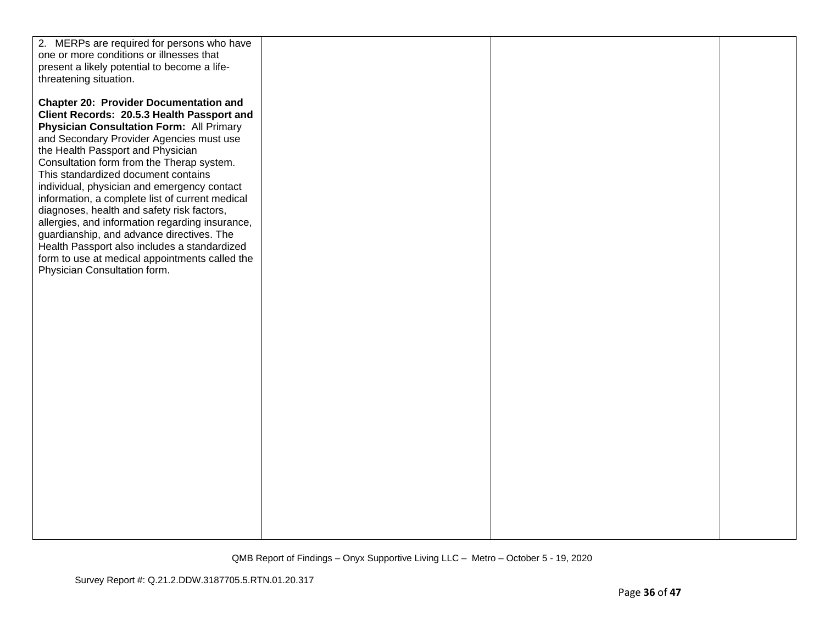| 2. MERPs are required for persons who have      |  |  |
|-------------------------------------------------|--|--|
| one or more conditions or illnesses that        |  |  |
| present a likely potential to become a life-    |  |  |
| threatening situation.                          |  |  |
|                                                 |  |  |
| <b>Chapter 20: Provider Documentation and</b>   |  |  |
| Client Records: 20.5.3 Health Passport and      |  |  |
| <b>Physician Consultation Form: All Primary</b> |  |  |
| and Secondary Provider Agencies must use        |  |  |
| the Health Passport and Physician               |  |  |
| Consultation form from the Therap system.       |  |  |
| This standardized document contains             |  |  |
| individual, physician and emergency contact     |  |  |
| information, a complete list of current medical |  |  |
| diagnoses, health and safety risk factors,      |  |  |
| allergies, and information regarding insurance, |  |  |
| guardianship, and advance directives. The       |  |  |
| Health Passport also includes a standardized    |  |  |
| form to use at medical appointments called the  |  |  |
| Physician Consultation form.                    |  |  |
|                                                 |  |  |
|                                                 |  |  |
|                                                 |  |  |
|                                                 |  |  |
|                                                 |  |  |
|                                                 |  |  |
|                                                 |  |  |
|                                                 |  |  |
|                                                 |  |  |
|                                                 |  |  |
|                                                 |  |  |
|                                                 |  |  |
|                                                 |  |  |
|                                                 |  |  |
|                                                 |  |  |
|                                                 |  |  |
|                                                 |  |  |
|                                                 |  |  |
|                                                 |  |  |
|                                                 |  |  |
|                                                 |  |  |
|                                                 |  |  |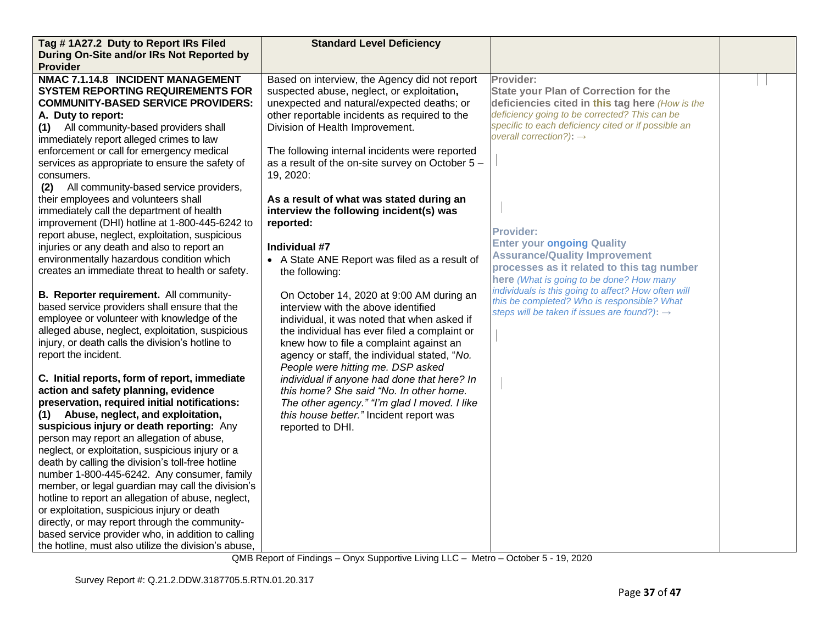| Tag #1A27.2 Duty to Report IRs Filed                                                     | <b>Standard Level Deficiency</b>                                                |                                                          |  |
|------------------------------------------------------------------------------------------|---------------------------------------------------------------------------------|----------------------------------------------------------|--|
| During On-Site and/or IRs Not Reported by                                                |                                                                                 |                                                          |  |
| <b>Provider</b>                                                                          |                                                                                 |                                                          |  |
| NMAC 7.1.14.8 INCIDENT MANAGEMENT                                                        | Based on interview, the Agency did not report                                   | Provider:                                                |  |
| <b>SYSTEM REPORTING REQUIREMENTS FOR</b>                                                 | suspected abuse, neglect, or exploitation,                                      | <b>State your Plan of Correction for the</b>             |  |
| <b>COMMUNITY-BASED SERVICE PROVIDERS:</b>                                                | unexpected and natural/expected deaths; or                                      | deficiencies cited in this tag here (How is the          |  |
| A. Duty to report:                                                                       | other reportable incidents as required to the                                   | deficiency going to be corrected? This can be            |  |
| All community-based providers shall<br>(1)                                               | Division of Health Improvement.                                                 | specific to each deficiency cited or if possible an      |  |
| immediately report alleged crimes to law                                                 |                                                                                 | overall correction?): $\rightarrow$                      |  |
| enforcement or call for emergency medical                                                | The following internal incidents were reported                                  |                                                          |  |
| services as appropriate to ensure the safety of                                          | as a result of the on-site survey on October 5 -                                |                                                          |  |
| consumers.                                                                               | 19, 2020:                                                                       |                                                          |  |
| All community-based service providers,<br>(2)                                            |                                                                                 |                                                          |  |
| their employees and volunteers shall                                                     | As a result of what was stated during an                                        |                                                          |  |
| immediately call the department of health                                                | interview the following incident(s) was                                         |                                                          |  |
| improvement (DHI) hotline at 1-800-445-6242 to                                           | reported:                                                                       | <b>Provider:</b>                                         |  |
| report abuse, neglect, exploitation, suspicious                                          |                                                                                 | <b>Enter your ongoing Quality</b>                        |  |
| injuries or any death and also to report an                                              | Individual #7                                                                   | <b>Assurance/Quality Improvement</b>                     |  |
| environmentally hazardous condition which                                                | • A State ANE Report was filed as a result of                                   | processes as it related to this tag number               |  |
| creates an immediate threat to health or safety.                                         | the following:                                                                  | here (What is going to be done? How many                 |  |
|                                                                                          |                                                                                 | individuals is this going to affect? How often will      |  |
| B. Reporter requirement. All community-<br>based service providers shall ensure that the | On October 14, 2020 at 9:00 AM during an<br>interview with the above identified | this be completed? Who is responsible? What              |  |
| employee or volunteer with knowledge of the                                              | individual, it was noted that when asked if                                     | steps will be taken if issues are found?): $\rightarrow$ |  |
| alleged abuse, neglect, exploitation, suspicious                                         | the individual has ever filed a complaint or                                    |                                                          |  |
| injury, or death calls the division's hotline to                                         | knew how to file a complaint against an                                         |                                                          |  |
| report the incident.                                                                     | agency or staff, the individual stated, "No.                                    |                                                          |  |
|                                                                                          | People were hitting me. DSP asked                                               |                                                          |  |
| C. Initial reports, form of report, immediate                                            | individual if anyone had done that here? In                                     |                                                          |  |
| action and safety planning, evidence                                                     | this home? She said "No. In other home.                                         |                                                          |  |
| preservation, required initial notifications:                                            | The other agency." "I'm glad I moved. I like                                    |                                                          |  |
| Abuse, neglect, and exploitation,<br>(1)                                                 | this house better." Incident report was                                         |                                                          |  |
| suspicious injury or death reporting: Any                                                | reported to DHI.                                                                |                                                          |  |
| person may report an allegation of abuse,                                                |                                                                                 |                                                          |  |
| neglect, or exploitation, suspicious injury or a                                         |                                                                                 |                                                          |  |
| death by calling the division's toll-free hotline                                        |                                                                                 |                                                          |  |
| number 1-800-445-6242. Any consumer, family                                              |                                                                                 |                                                          |  |
| member, or legal guardian may call the division's                                        |                                                                                 |                                                          |  |
| hotline to report an allegation of abuse, neglect,                                       |                                                                                 |                                                          |  |
| or exploitation, suspicious injury or death                                              |                                                                                 |                                                          |  |
| directly, or may report through the community-                                           |                                                                                 |                                                          |  |
| based service provider who, in addition to calling                                       |                                                                                 |                                                          |  |
| the hotline, must also utilize the division's abuse,                                     |                                                                                 |                                                          |  |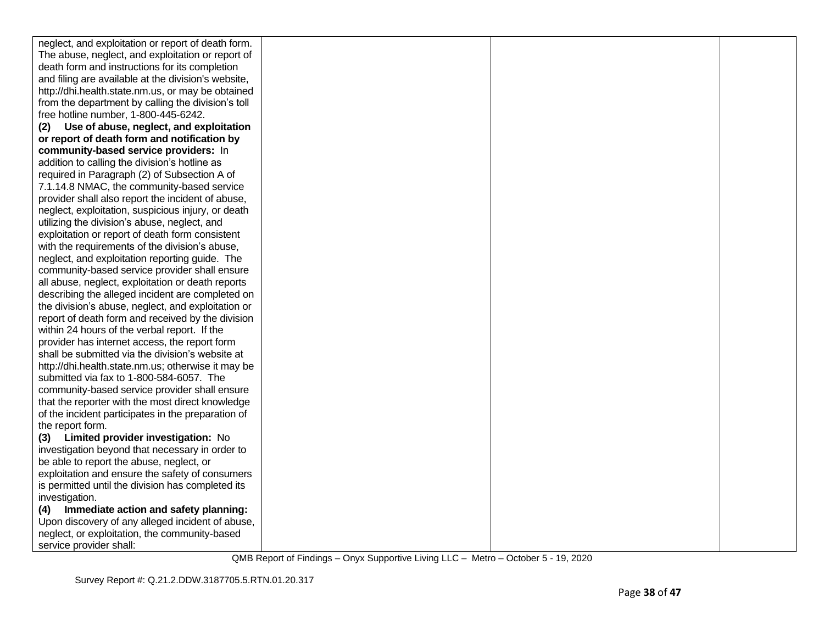| neglect, and exploitation or report of death form.  |  |  |
|-----------------------------------------------------|--|--|
| The abuse, neglect, and exploitation or report of   |  |  |
| death form and instructions for its completion      |  |  |
| and filing are available at the division's website, |  |  |
| http://dhi.health.state.nm.us, or may be obtained   |  |  |
| from the department by calling the division's toll  |  |  |
| free hotline number, 1-800-445-6242.                |  |  |
| Use of abuse, neglect, and exploitation<br>(2)      |  |  |
| or report of death form and notification by         |  |  |
| community-based service providers: In               |  |  |
| addition to calling the division's hotline as       |  |  |
| required in Paragraph (2) of Subsection A of        |  |  |
| 7.1.14.8 NMAC, the community-based service          |  |  |
| provider shall also report the incident of abuse,   |  |  |
| neglect, exploitation, suspicious injury, or death  |  |  |
| utilizing the division's abuse, neglect, and        |  |  |
| exploitation or report of death form consistent     |  |  |
| with the requirements of the division's abuse,      |  |  |
| neglect, and exploitation reporting guide. The      |  |  |
| community-based service provider shall ensure       |  |  |
| all abuse, neglect, exploitation or death reports   |  |  |
| describing the alleged incident are completed on    |  |  |
| the division's abuse, neglect, and exploitation or  |  |  |
| report of death form and received by the division   |  |  |
| within 24 hours of the verbal report. If the        |  |  |
| provider has internet access, the report form       |  |  |
| shall be submitted via the division's website at    |  |  |
| http://dhi.health.state.nm.us; otherwise it may be  |  |  |
| submitted via fax to 1-800-584-6057. The            |  |  |
| community-based service provider shall ensure       |  |  |
| that the reporter with the most direct knowledge    |  |  |
| of the incident participates in the preparation of  |  |  |
| the report form.                                    |  |  |
| Limited provider investigation: No<br>(3)           |  |  |
| investigation beyond that necessary in order to     |  |  |
| be able to report the abuse, neglect, or            |  |  |
| exploitation and ensure the safety of consumers     |  |  |
| is permitted until the division has completed its   |  |  |
| investigation.                                      |  |  |
| Immediate action and safety planning:<br>(4)        |  |  |
| Upon discovery of any alleged incident of abuse,    |  |  |
| neglect, or exploitation, the community-based       |  |  |
| service provider shall:                             |  |  |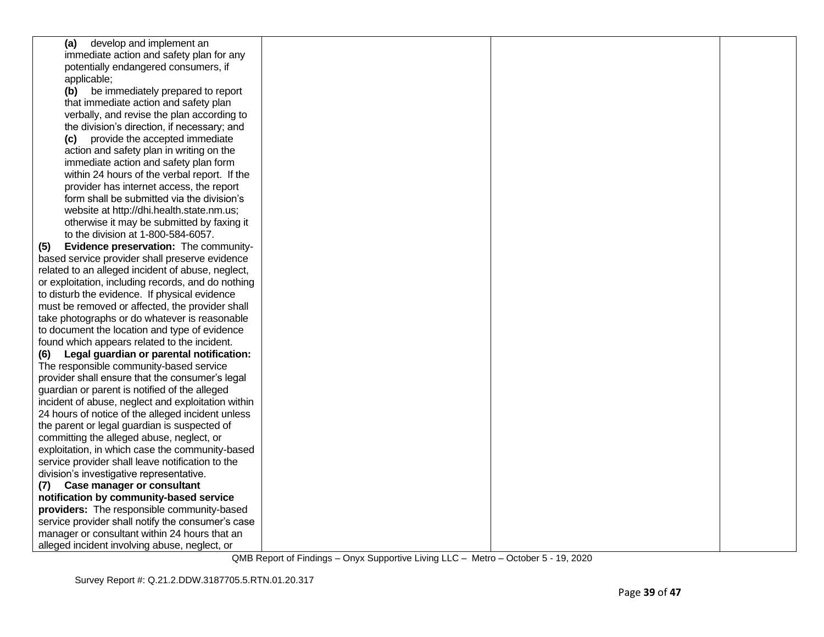| develop and implement an<br>(a)                    |  |  |
|----------------------------------------------------|--|--|
| immediate action and safety plan for any           |  |  |
| potentially endangered consumers, if               |  |  |
| applicable;                                        |  |  |
| (b) be immediately prepared to report              |  |  |
| that immediate action and safety plan              |  |  |
| verbally, and revise the plan according to         |  |  |
| the division's direction, if necessary; and        |  |  |
| (c)<br>provide the accepted immediate              |  |  |
| action and safety plan in writing on the           |  |  |
| immediate action and safety plan form              |  |  |
| within 24 hours of the verbal report. If the       |  |  |
| provider has internet access, the report           |  |  |
| form shall be submitted via the division's         |  |  |
| website at http://dhi.health.state.nm.us;          |  |  |
| otherwise it may be submitted by faxing it         |  |  |
| to the division at 1-800-584-6057.                 |  |  |
| Evidence preservation: The community-<br>(5)       |  |  |
| based service provider shall preserve evidence     |  |  |
| related to an alleged incident of abuse, neglect,  |  |  |
| or exploitation, including records, and do nothing |  |  |
| to disturb the evidence. If physical evidence      |  |  |
| must be removed or affected, the provider shall    |  |  |
| take photographs or do whatever is reasonable      |  |  |
| to document the location and type of evidence      |  |  |
| found which appears related to the incident.       |  |  |
| Legal guardian or parental notification:<br>(6)    |  |  |
| The responsible community-based service            |  |  |
| provider shall ensure that the consumer's legal    |  |  |
| guardian or parent is notified of the alleged      |  |  |
| incident of abuse, neglect and exploitation within |  |  |
| 24 hours of notice of the alleged incident unless  |  |  |
| the parent or legal guardian is suspected of       |  |  |
| committing the alleged abuse, neglect, or          |  |  |
| exploitation, in which case the community-based    |  |  |
| service provider shall leave notification to the   |  |  |
| division's investigative representative.           |  |  |
| (7) Case manager or consultant                     |  |  |
| notification by community-based service            |  |  |
| providers: The responsible community-based         |  |  |
| service provider shall notify the consumer's case  |  |  |
| manager or consultant within 24 hours that an      |  |  |
| alleged incident involving abuse, neglect, or      |  |  |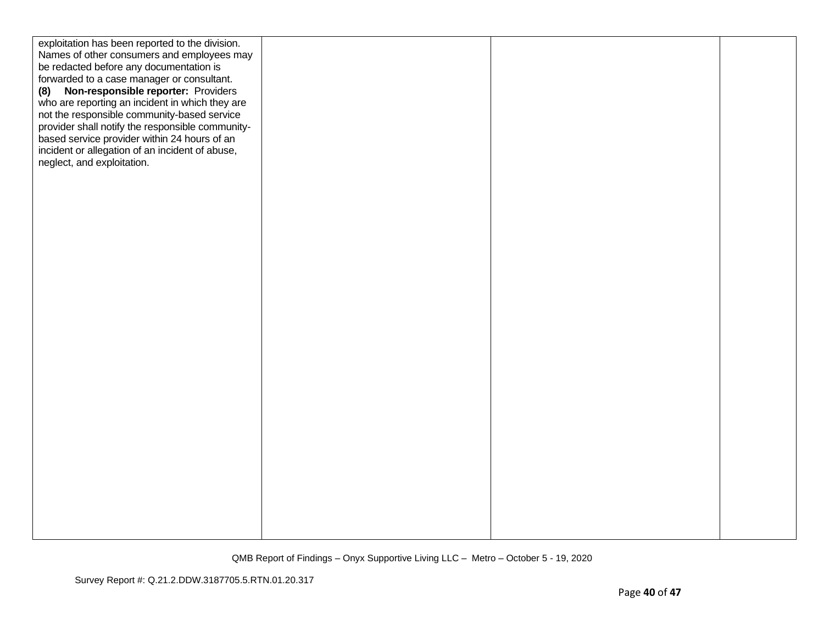| exploitation has been reported to the division.  |  |  |
|--------------------------------------------------|--|--|
| Names of other consumers and employees may       |  |  |
| be redacted before any documentation is          |  |  |
| forwarded to a case manager or consultant.       |  |  |
| Non-responsible reporter: Providers<br>(8)       |  |  |
| who are reporting an incident in which they are  |  |  |
| not the responsible community-based service      |  |  |
| provider shall notify the responsible community- |  |  |
| based service provider within 24 hours of an     |  |  |
| incident or allegation of an incident of abuse,  |  |  |
| neglect, and exploitation.                       |  |  |
|                                                  |  |  |
|                                                  |  |  |
|                                                  |  |  |
|                                                  |  |  |
|                                                  |  |  |
|                                                  |  |  |
|                                                  |  |  |
|                                                  |  |  |
|                                                  |  |  |
|                                                  |  |  |
|                                                  |  |  |
|                                                  |  |  |
|                                                  |  |  |
|                                                  |  |  |
|                                                  |  |  |
|                                                  |  |  |
|                                                  |  |  |
|                                                  |  |  |
|                                                  |  |  |
|                                                  |  |  |
|                                                  |  |  |
|                                                  |  |  |
|                                                  |  |  |
|                                                  |  |  |
|                                                  |  |  |
|                                                  |  |  |
|                                                  |  |  |
|                                                  |  |  |
|                                                  |  |  |
|                                                  |  |  |
|                                                  |  |  |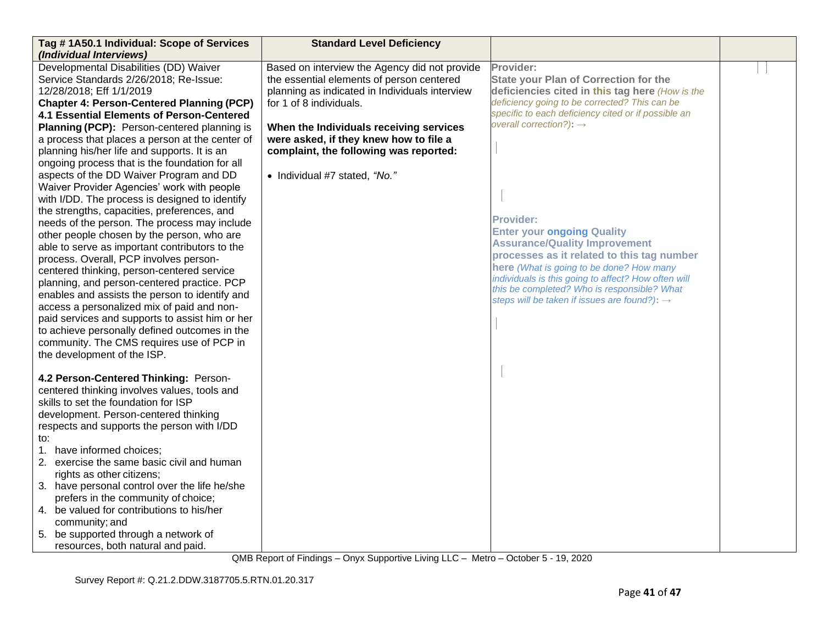| Tag #1A50.1 Individual: Scope of Services                                                 | <b>Standard Level Deficiency</b>               |                                                          |  |
|-------------------------------------------------------------------------------------------|------------------------------------------------|----------------------------------------------------------|--|
| (Individual Interviews)<br>Developmental Disabilities (DD) Waiver                         | Based on interview the Agency did not provide  | Provider:                                                |  |
| Service Standards 2/26/2018; Re-Issue:                                                    | the essential elements of person centered      | <b>State your Plan of Correction for the</b>             |  |
| 12/28/2018; Eff 1/1/2019                                                                  | planning as indicated in Individuals interview | deficiencies cited in this tag here (How is the          |  |
| <b>Chapter 4: Person-Centered Planning (PCP)</b>                                          | for 1 of 8 individuals.                        | deficiency going to be corrected? This can be            |  |
| 4.1 Essential Elements of Person-Centered                                                 |                                                | specific to each deficiency cited or if possible an      |  |
| Planning (PCP): Person-centered planning is                                               | When the Individuals receiving services        | overall correction?): $\rightarrow$                      |  |
| a process that places a person at the center of                                           | were asked, if they knew how to file a         |                                                          |  |
| planning his/her life and supports. It is an                                              | complaint, the following was reported:         |                                                          |  |
| ongoing process that is the foundation for all                                            |                                                |                                                          |  |
| aspects of the DD Waiver Program and DD                                                   | • Individual #7 stated, "No."                  |                                                          |  |
| Waiver Provider Agencies' work with people                                                |                                                |                                                          |  |
| with I/DD. The process is designed to identify                                            |                                                |                                                          |  |
| the strengths, capacities, preferences, and                                               |                                                | <b>Provider:</b>                                         |  |
| needs of the person. The process may include                                              |                                                | <b>Enter your ongoing Quality</b>                        |  |
| other people chosen by the person, who are                                                |                                                | <b>Assurance/Quality Improvement</b>                     |  |
| able to serve as important contributors to the                                            |                                                | processes as it related to this tag number               |  |
| process. Overall, PCP involves person-                                                    |                                                | here (What is going to be done? How many                 |  |
| centered thinking, person-centered service<br>planning, and person-centered practice. PCP |                                                | individuals is this going to affect? How often will      |  |
| enables and assists the person to identify and                                            |                                                | this be completed? Who is responsible? What              |  |
| access a personalized mix of paid and non-                                                |                                                | steps will be taken if issues are found?): $\rightarrow$ |  |
| paid services and supports to assist him or her                                           |                                                |                                                          |  |
| to achieve personally defined outcomes in the                                             |                                                |                                                          |  |
| community. The CMS requires use of PCP in                                                 |                                                |                                                          |  |
| the development of the ISP.                                                               |                                                |                                                          |  |
|                                                                                           |                                                |                                                          |  |
| 4.2 Person-Centered Thinking: Person-                                                     |                                                |                                                          |  |
| centered thinking involves values, tools and                                              |                                                |                                                          |  |
| skills to set the foundation for ISP                                                      |                                                |                                                          |  |
| development. Person-centered thinking                                                     |                                                |                                                          |  |
| respects and supports the person with I/DD                                                |                                                |                                                          |  |
| to:                                                                                       |                                                |                                                          |  |
| 1. have informed choices;                                                                 |                                                |                                                          |  |
| 2. exercise the same basic civil and human                                                |                                                |                                                          |  |
| rights as other citizens;                                                                 |                                                |                                                          |  |
| 3. have personal control over the life he/she                                             |                                                |                                                          |  |
| prefers in the community of choice;                                                       |                                                |                                                          |  |
| 4. be valued for contributions to his/her                                                 |                                                |                                                          |  |
| community; and                                                                            |                                                |                                                          |  |
| 5. be supported through a network of                                                      |                                                |                                                          |  |
| resources, both natural and paid.                                                         |                                                |                                                          |  |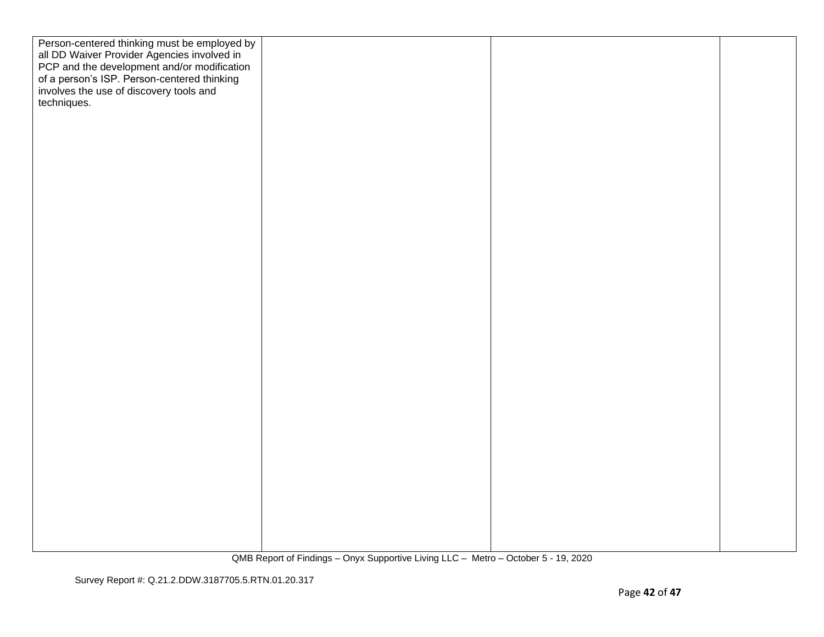| Person-centered thinking must be employed by<br>all DD Waiver Provider Agencies involved in<br>PCP and the development and/or modification<br>of a person's ISP. Person-centered thinking<br>involves the use of discovery tools and<br>techniques. |  |  |
|-----------------------------------------------------------------------------------------------------------------------------------------------------------------------------------------------------------------------------------------------------|--|--|
|                                                                                                                                                                                                                                                     |  |  |
|                                                                                                                                                                                                                                                     |  |  |
|                                                                                                                                                                                                                                                     |  |  |
|                                                                                                                                                                                                                                                     |  |  |
|                                                                                                                                                                                                                                                     |  |  |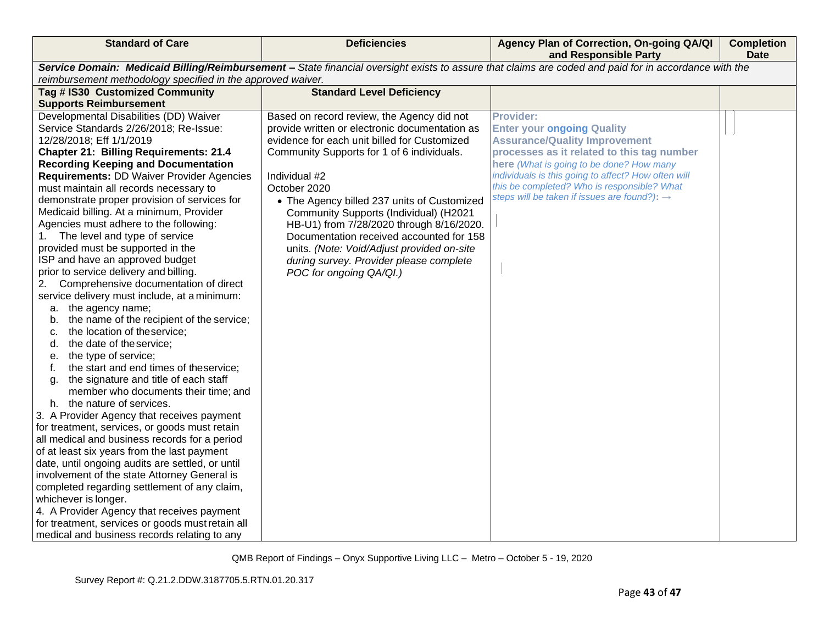| <b>Standard of Care</b>                                                                     | <b>Deficiencies</b>                            | Agency Plan of Correction, On-going QA/QI<br>and Responsible Party                                                                                    | <b>Completion</b><br><b>Date</b> |
|---------------------------------------------------------------------------------------------|------------------------------------------------|-------------------------------------------------------------------------------------------------------------------------------------------------------|----------------------------------|
|                                                                                             |                                                | Service Domain: Medicaid Billing/Reimbursement - State financial oversight exists to assure that claims are coded and paid for in accordance with the |                                  |
| reimbursement methodology specified in the approved waiver.                                 |                                                |                                                                                                                                                       |                                  |
| Tag # IS30 Customized Community<br><b>Supports Reimbursement</b>                            | <b>Standard Level Deficiency</b>               |                                                                                                                                                       |                                  |
| Developmental Disabilities (DD) Waiver                                                      | Based on record review, the Agency did not     | <b>Provider:</b>                                                                                                                                      |                                  |
| Service Standards 2/26/2018; Re-Issue:                                                      | provide written or electronic documentation as | <b>Enter your ongoing Quality</b>                                                                                                                     |                                  |
| 12/28/2018; Eff 1/1/2019                                                                    | evidence for each unit billed for Customized   | <b>Assurance/Quality Improvement</b>                                                                                                                  |                                  |
| <b>Chapter 21: Billing Requirements: 21.4</b>                                               | Community Supports for 1 of 6 individuals.     | processes as it related to this tag number                                                                                                            |                                  |
| <b>Recording Keeping and Documentation</b>                                                  |                                                | here (What is going to be done? How many                                                                                                              |                                  |
| <b>Requirements: DD Waiver Provider Agencies</b>                                            | Individual #2                                  | individuals is this going to affect? How often will                                                                                                   |                                  |
| must maintain all records necessary to                                                      | October 2020                                   | this be completed? Who is responsible? What                                                                                                           |                                  |
| demonstrate proper provision of services for                                                | • The Agency billed 237 units of Customized    | steps will be taken if issues are found?): →                                                                                                          |                                  |
| Medicaid billing. At a minimum, Provider                                                    | Community Supports (Individual) (H2021         |                                                                                                                                                       |                                  |
| Agencies must adhere to the following:                                                      | HB-U1) from 7/28/2020 through 8/16/2020.       |                                                                                                                                                       |                                  |
| The level and type of service<br>1.                                                         | Documentation received accounted for 158       |                                                                                                                                                       |                                  |
| provided must be supported in the                                                           | units. (Note: Void/Adjust provided on-site     |                                                                                                                                                       |                                  |
| ISP and have an approved budget                                                             | during survey. Provider please complete        |                                                                                                                                                       |                                  |
| prior to service delivery and billing.                                                      | POC for ongoing QA/QI.)                        |                                                                                                                                                       |                                  |
| Comprehensive documentation of direct<br>2.                                                 |                                                |                                                                                                                                                       |                                  |
| service delivery must include, at a minimum:                                                |                                                |                                                                                                                                                       |                                  |
| a. the agency name;                                                                         |                                                |                                                                                                                                                       |                                  |
| the name of the recipient of the service;<br>b.                                             |                                                |                                                                                                                                                       |                                  |
| the location of theservice;<br>c.                                                           |                                                |                                                                                                                                                       |                                  |
| the date of the service;<br>d.                                                              |                                                |                                                                                                                                                       |                                  |
| the type of service;<br>е.                                                                  |                                                |                                                                                                                                                       |                                  |
| the start and end times of theservice;<br>t.                                                |                                                |                                                                                                                                                       |                                  |
| the signature and title of each staff<br>g.                                                 |                                                |                                                                                                                                                       |                                  |
| member who documents their time; and                                                        |                                                |                                                                                                                                                       |                                  |
| h. the nature of services.                                                                  |                                                |                                                                                                                                                       |                                  |
| 3. A Provider Agency that receives payment<br>for treatment, services, or goods must retain |                                                |                                                                                                                                                       |                                  |
| all medical and business records for a period                                               |                                                |                                                                                                                                                       |                                  |
| of at least six years from the last payment                                                 |                                                |                                                                                                                                                       |                                  |
| date, until ongoing audits are settled, or until                                            |                                                |                                                                                                                                                       |                                  |
| involvement of the state Attorney General is                                                |                                                |                                                                                                                                                       |                                  |
| completed regarding settlement of any claim,                                                |                                                |                                                                                                                                                       |                                  |
| whichever is longer.                                                                        |                                                |                                                                                                                                                       |                                  |
| 4. A Provider Agency that receives payment                                                  |                                                |                                                                                                                                                       |                                  |
| for treatment, services or goods must retain all                                            |                                                |                                                                                                                                                       |                                  |
| medical and business records relating to any                                                |                                                |                                                                                                                                                       |                                  |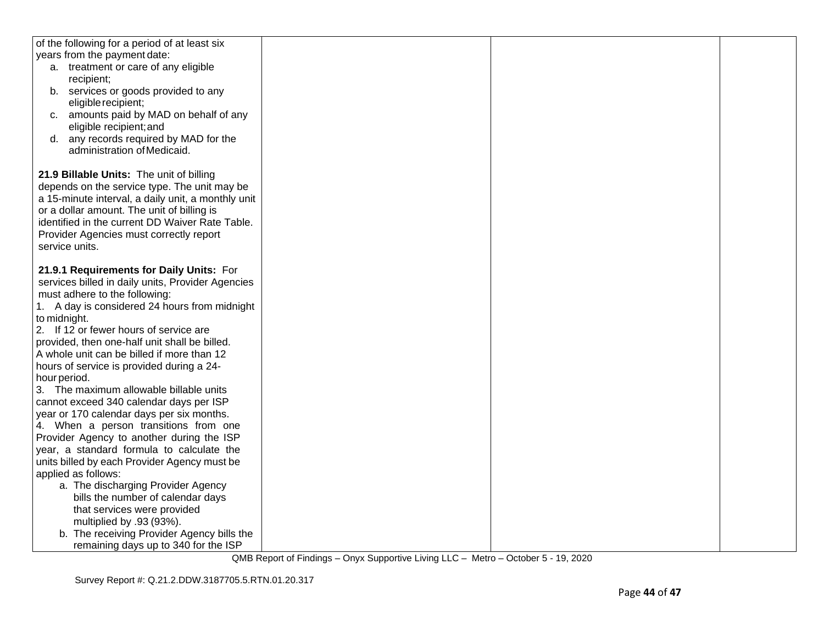| of the following for a period of at least six      |  |  |
|----------------------------------------------------|--|--|
| years from the payment date:                       |  |  |
| a. treatment or care of any eligible               |  |  |
| recipient;                                         |  |  |
| b. services or goods provided to any               |  |  |
| eligible recipient;                                |  |  |
| amounts paid by MAD on behalf of any<br>C.         |  |  |
| eligible recipient; and                            |  |  |
| d. any records required by MAD for the             |  |  |
| administration of Medicaid.                        |  |  |
|                                                    |  |  |
|                                                    |  |  |
| 21.9 Billable Units: The unit of billing           |  |  |
| depends on the service type. The unit may be       |  |  |
| a 15-minute interval, a daily unit, a monthly unit |  |  |
| or a dollar amount. The unit of billing is         |  |  |
| identified in the current DD Waiver Rate Table.    |  |  |
| Provider Agencies must correctly report            |  |  |
| service units.                                     |  |  |
|                                                    |  |  |
| 21.9.1 Requirements for Daily Units: For           |  |  |
| services billed in daily units, Provider Agencies  |  |  |
| must adhere to the following:                      |  |  |
| 1. A day is considered 24 hours from midnight      |  |  |
| to midnight.                                       |  |  |
| 2. If 12 or fewer hours of service are             |  |  |
| provided, then one-half unit shall be billed.      |  |  |
| A whole unit can be billed if more than 12         |  |  |
| hours of service is provided during a 24-          |  |  |
| hour period.                                       |  |  |
| 3. The maximum allowable billable units            |  |  |
| cannot exceed 340 calendar days per ISP            |  |  |
| year or 170 calendar days per six months.          |  |  |
| 4. When a person transitions from one              |  |  |
| Provider Agency to another during the ISP          |  |  |
| year, a standard formula to calculate the          |  |  |
| units billed by each Provider Agency must be       |  |  |
| applied as follows:                                |  |  |
| a. The discharging Provider Agency                 |  |  |
| bills the number of calendar days                  |  |  |
| that services were provided                        |  |  |
| multiplied by .93 (93%).                           |  |  |
|                                                    |  |  |
| b. The receiving Provider Agency bills the         |  |  |
| remaining days up to 340 for the ISP               |  |  |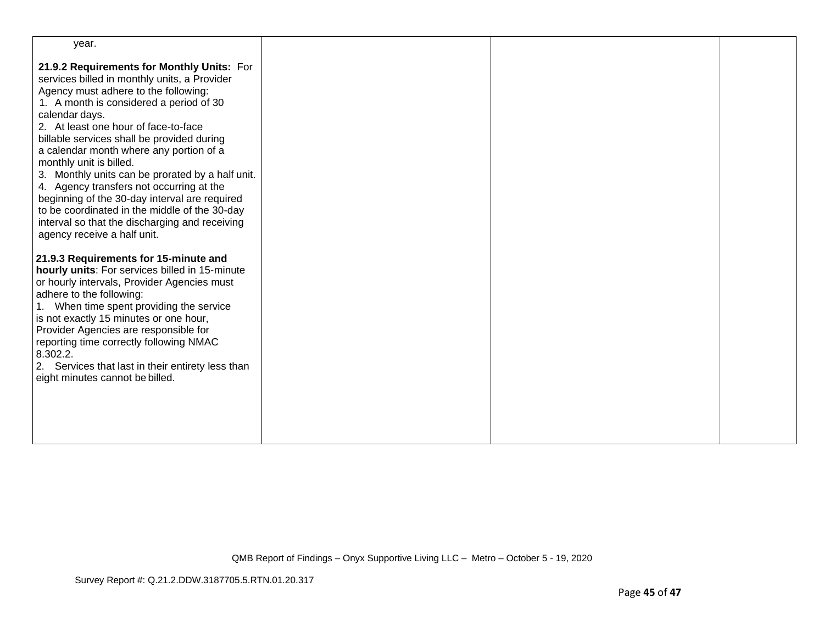| year.                                                                                                                                                                                                                                                                                                                                                                                                                                                                                                                                                                                                                                          |  |  |
|------------------------------------------------------------------------------------------------------------------------------------------------------------------------------------------------------------------------------------------------------------------------------------------------------------------------------------------------------------------------------------------------------------------------------------------------------------------------------------------------------------------------------------------------------------------------------------------------------------------------------------------------|--|--|
| 21.9.2 Requirements for Monthly Units: For<br>services billed in monthly units, a Provider<br>Agency must adhere to the following:<br>1. A month is considered a period of 30<br>calendar days.<br>2. At least one hour of face-to-face<br>billable services shall be provided during<br>a calendar month where any portion of a<br>monthly unit is billed.<br>3. Monthly units can be prorated by a half unit.<br>4. Agency transfers not occurring at the<br>beginning of the 30-day interval are required<br>to be coordinated in the middle of the 30-day<br>interval so that the discharging and receiving<br>agency receive a half unit. |  |  |
| 21.9.3 Requirements for 15-minute and<br>hourly units: For services billed in 15-minute<br>or hourly intervals, Provider Agencies must<br>adhere to the following:<br>1. When time spent providing the service<br>is not exactly 15 minutes or one hour,<br>Provider Agencies are responsible for<br>reporting time correctly following NMAC<br>8.302.2.<br>2. Services that last in their entirety less than<br>eight minutes cannot be billed.                                                                                                                                                                                               |  |  |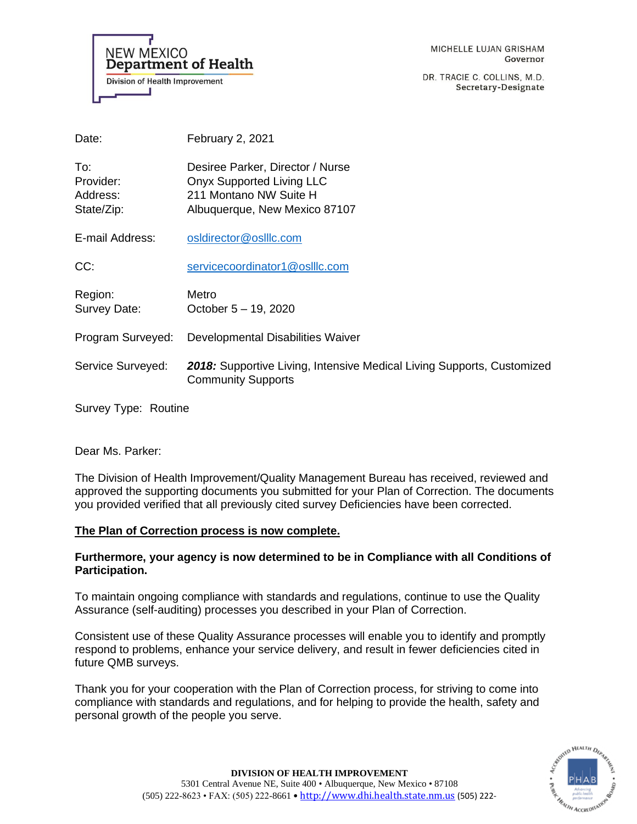**NEW MEXICO Department of Health Division of Health Improvement** 

MICHELLE LUJAN GRISHAM Governor

DR. TRACIE C. COLLINS, M.D. Secretary-Designate

| Date:                                      | <b>February 2, 2021</b>                                                                                                         |
|--------------------------------------------|---------------------------------------------------------------------------------------------------------------------------------|
| To:<br>Provider:<br>Address:<br>State/Zip: | Desiree Parker, Director / Nurse<br><b>Onyx Supported Living LLC</b><br>211 Montano NW Suite H<br>Albuquerque, New Mexico 87107 |
| E-mail Address:                            | osldirector@oslllc.com                                                                                                          |
| CC:                                        | servicecoordinator1@oslllc.com                                                                                                  |
| Region:<br>Survey Date:                    | Metro<br>October 5 – 19, 2020                                                                                                   |
| Program Surveyed:                          | Developmental Disabilities Waiver                                                                                               |
| Service Surveyed:                          | 2018: Supportive Living, Intensive Medical Living Supports, Customized<br><b>Community Supports</b>                             |

Survey Type: Routine

Dear Ms. Parker:

The Division of Health Improvement/Quality Management Bureau has received, reviewed and approved the supporting documents you submitted for your Plan of Correction. The documents you provided verified that all previously cited survey Deficiencies have been corrected.

# **The Plan of Correction process is now complete.**

# **Furthermore, your agency is now determined to be in Compliance with all Conditions of Participation.**

To maintain ongoing compliance with standards and regulations, continue to use the Quality Assurance (self-auditing) processes you described in your Plan of Correction.

Consistent use of these Quality Assurance processes will enable you to identify and promptly respond to problems, enhance your service delivery, and result in fewer deficiencies cited in future QMB surveys.

Thank you for your cooperation with the Plan of Correction process, for striving to come into compliance with standards and regulations, and for helping to provide the health, safety and personal growth of the people you serve.